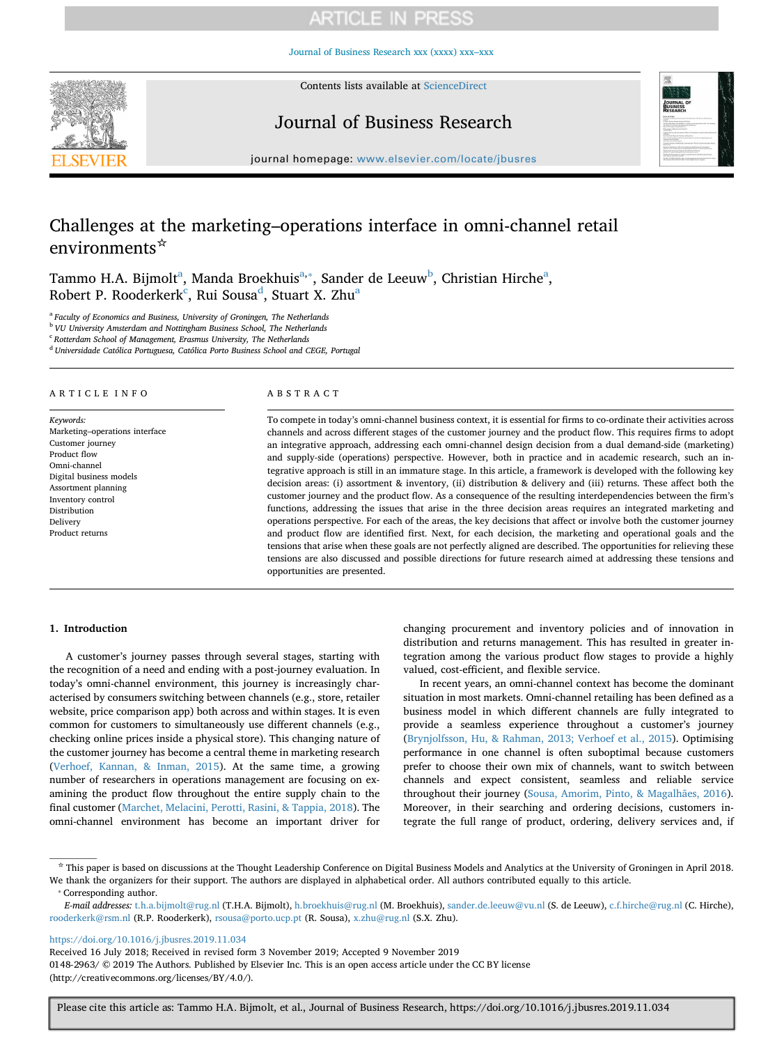[Journal of Business Research xxx \(xxxx\) xxx–xxx](https://doi.org/10.1016/j.jbusres.2019.11.034)



Contents lists available at [ScienceDirect](http://www.sciencedirect.com/science/journal/01482963)

## Journal of Business Research



journal homepage: [www.elsevier.com/locate/jbusres](https://www.elsevier.com/locate/jbusres)

# Challenges at the marketing–operations interface in omni-channel retail environments<sup>☆</sup>

T[a](#page-0-0)mmo H.A. Bijmolt<sup>a</sup>, Manda Broekhuis<sup>[a,](#page-0-0)</sup>\*, Sander de Leeuw<sup>[b](#page-0-2)</sup>, Christian Hirche<sup>a</sup>, Robert P. Rooderkerk<sup>[c](#page-0-3)</sup>, Rui Sousa<sup>[d](#page-0-4)</sup>, Stu[a](#page-0-0)rt X. Zhu<sup>a</sup>

<span id="page-0-0"></span><sup>a</sup> *Faculty of Economics and Business, University of Groningen, The Netherlands*

<span id="page-0-2"></span><sup>b</sup> *VU University Amsterdam and Nottingham Business School, The Netherlands*

<span id="page-0-3"></span><sup>c</sup> *Rotterdam School of Management, Erasmus University, The Netherlands*

<span id="page-0-4"></span><sup>d</sup> *Universidade Católica Portuguesa, Católica Porto Business School and CEGE, Portugal*

#### ARTICLE INFO

*Keywords:* Marketing–operations interface Customer journey Product flow Omni-channel Digital business models Assortment planning Inventory control Distribution Delivery Product returns

### ABSTRACT

To compete in today's omni-channel business context, it is essential for firms to co-ordinate their activities across channels and across different stages of the customer journey and the product flow. This requires firms to adopt an integrative approach, addressing each omni-channel design decision from a dual demand-side (marketing) and supply-side (operations) perspective. However, both in practice and in academic research, such an integrative approach is still in an immature stage. In this article, a framework is developed with the following key decision areas: (i) assortment & inventory, (ii) distribution & delivery and (iii) returns. These affect both the customer journey and the product flow. As a consequence of the resulting interdependencies between the firm's functions, addressing the issues that arise in the three decision areas requires an integrated marketing and operations perspective. For each of the areas, the key decisions that affect or involve both the customer journey and product flow are identified first. Next, for each decision, the marketing and operational goals and the tensions that arise when these goals are not perfectly aligned are described. The opportunities for relieving these tensions are also discussed and possible directions for future research aimed at addressing these tensions and opportunities are presented.

### **1. Introduction**

A customer's journey passes through several stages, starting with the recognition of a need and ending with a post-journey evaluation. In today's omni-channel environment, this journey is increasingly characterised by consumers switching between channels (e.g., store, retailer website, price comparison app) both across and within stages. It is even common for customers to simultaneously use different channels (e.g., checking online prices inside a physical store). This changing nature of the customer journey has become a central theme in marketing research ([Verhoef, Kannan, & Inman, 2015\)](#page-10-0). At the same time, a growing number of researchers in operations management are focusing on examining the product flow throughout the entire supply chain to the final customer ([Marchet, Melacini, Perotti, Rasini, & Tappia, 2018](#page-9-0)). The omni-channel environment has become an important driver for

changing procurement and inventory policies and of innovation in distribution and returns management. This has resulted in greater integration among the various product flow stages to provide a highly valued, cost-efficient, and flexible service.

In recent years, an omni-channel context has become the dominant situation in most markets. Omni-channel retailing has been defined as a business model in which different channels are fully integrated to provide a seamless experience throughout a customer's journey ([Brynjolfsson, Hu, & Rahman, 2013; Verhoef et al., 2015\)](#page-9-1). Optimising performance in one channel is often suboptimal because customers prefer to choose their own mix of channels, want to switch between channels and expect consistent, seamless and reliable service throughout their journey [\(Sousa, Amorim, Pinto, & Magalhães, 2016](#page-10-1)). Moreover, in their searching and ordering decisions, customers integrate the full range of product, ordering, delivery services and, if

<https://doi.org/10.1016/j.jbusres.2019.11.034>

<sup>☆</sup> This paper is based on discussions at the Thought Leadership Conference on Digital Business Models and Analytics at the University of Groningen in April 2018. We thank the organizers for their support. The authors are displayed in alphabetical order. All authors contributed equally to this article.

<span id="page-0-1"></span><sup>⁎</sup> Corresponding author.

*E-mail addresses:* [t.h.a.bijmolt@rug.nl](mailto:t.h.a.bijmolt@rug.nl) (T.H.A. Bijmolt), [h.broekhuis@rug.nl](mailto:h.broekhuis@rug.nl) (M. Broekhuis), [sander.de.leeuw@vu.nl](mailto:sander.de.leeuw@vu.nl) (S. de Leeuw), [c.f.hirche@rug.nl](mailto:c.f.hirche@rug.nl) (C. Hirche), [rooderkerk@rsm.nl](mailto:rooderkerk@rsm.nl) (R.P. Rooderkerk), [rsousa@porto.ucp.pt](mailto:rsousa@porto.ucp.pt) (R. Sousa), [x.zhu@rug.nl](mailto:x.zhu@rug.nl) (S.X. Zhu).

Received 16 July 2018; Received in revised form 3 November 2019; Accepted 9 November 2019 0148-2963/ © 2019 The Authors. Published by Elsevier Inc. This is an open access article under the CC BY license (http://creativecommons.org/licenses/BY/4.0/).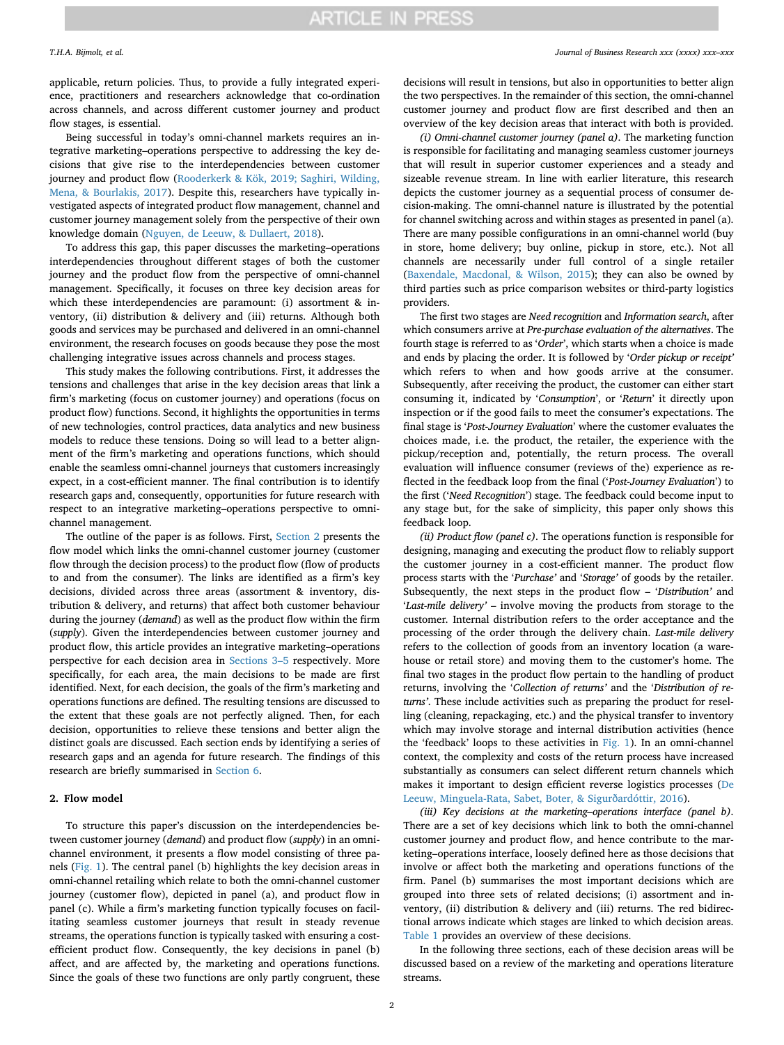applicable, return policies. Thus, to provide a fully integrated experience, practitioners and researchers acknowledge that co-ordination across channels, and across different customer journey and product flow stages, is essential.

Being successful in today's omni-channel markets requires an integrative marketing–operations perspective to addressing the key decisions that give rise to the interdependencies between customer journey and product flow ([Rooderkerk & Kök, 2019; Saghiri, Wilding,](#page-9-2) [Mena, & Bourlakis, 2017](#page-9-2)). Despite this, researchers have typically investigated aspects of integrated product flow management, channel and customer journey management solely from the perspective of their own knowledge domain ([Nguyen, de Leeuw, & Dullaert, 2018](#page-9-3)).

To address this gap, this paper discusses the marketing–operations interdependencies throughout different stages of both the customer journey and the product flow from the perspective of omni-channel management. Specifically, it focuses on three key decision areas for which these interdependencies are paramount: (i) assortment & inventory, (ii) distribution & delivery and (iii) returns. Although both goods and services may be purchased and delivered in an omni-channel environment, the research focuses on goods because they pose the most challenging integrative issues across channels and process stages.

This study makes the following contributions. First, it addresses the tensions and challenges that arise in the key decision areas that link a firm's marketing (focus on customer journey) and operations (focus on product flow) functions. Second, it highlights the opportunities in terms of new technologies, control practices, data analytics and new business models to reduce these tensions. Doing so will lead to a better alignment of the firm's marketing and operations functions, which should enable the seamless omni-channel journeys that customers increasingly expect, in a cost-efficient manner. The final contribution is to identify research gaps and, consequently, opportunities for future research with respect to an integrative marketing–operations perspective to omnichannel management.

The outline of the paper is as follows. First, [Section 2](#page-1-0) presents the flow model which links the omni-channel customer journey (customer flow through the decision process) to the product flow (flow of products to and from the consumer). The links are identified as a firm's key decisions, divided across three areas (assortment & inventory, distribution & delivery, and returns) that affect both customer behaviour during the journey (*demand*) as well as the product flow within the firm (*supply*). Given the interdependencies between customer journey and product flow, this article provides an integrative marketing–operations perspective for each decision area in [Sections 3–5](#page-2-0) respectively. More specifically, for each area, the main decisions to be made are first identified. Next, for each decision, the goals of the firm's marketing and operations functions are defined. The resulting tensions are discussed to the extent that these goals are not perfectly aligned. Then, for each decision, opportunities to relieve these tensions and better align the distinct goals are discussed. Each section ends by identifying a series of research gaps and an agenda for future research. The findings of this research are briefly summarised in [Section 6.](#page-8-0)

#### <span id="page-1-0"></span>**2. Flow model**

To structure this paper's discussion on the interdependencies between customer journey (*demand*) and product flow (*supply*) in an omnichannel environment, it presents a flow model consisting of three panels [\(Fig. 1](#page-2-1)). The central panel (b) highlights the key decision areas in omni-channel retailing which relate to both the omni-channel customer journey (customer flow), depicted in panel (a), and product flow in panel (c). While a firm's marketing function typically focuses on facilitating seamless customer journeys that result in steady revenue streams, the operations function is typically tasked with ensuring a costefficient product flow. Consequently, the key decisions in panel (b) affect, and are affected by, the marketing and operations functions. Since the goals of these two functions are only partly congruent, these

#### *T.H.A. Bijmolt, et al. Journal of Business Research xxx (xxxx) xxx–xxx*

decisions will result in tensions, but also in opportunities to better align the two perspectives. In the remainder of this section, the omni-channel customer journey and product flow are first described and then an overview of the key decision areas that interact with both is provided.

*(i) Omni-channel customer journey (panel a)*. The marketing function is responsible for facilitating and managing seamless customer journeys that will result in superior customer experiences and a steady and sizeable revenue stream. In line with earlier literature, this research depicts the customer journey as a sequential process of consumer decision-making. The omni-channel nature is illustrated by the potential for channel switching across and within stages as presented in panel (a). There are many possible configurations in an omni-channel world (buy in store, home delivery; buy online, pickup in store, etc.). Not all channels are necessarily under full control of a single retailer ([Baxendale, Macdonal, & Wilson, 2015\)](#page-9-4); they can also be owned by third parties such as price comparison websites or third-party logistics providers.

The first two stages are *Need recognition* and *Information search*, after which consumers arrive at *Pre-purchase evaluation of the alternatives*. The fourth stage is referred to as '*Order*', which starts when a choice is made and ends by placing the order. It is followed by '*Order pickup or receipt'* which refers to when and how goods arrive at the consumer. Subsequently, after receiving the product, the customer can either start consuming it, indicated by '*Consumption*', or '*Return*' it directly upon inspection or if the good fails to meet the consumer's expectations. The final stage is '*Post-Journey Evaluation*' where the customer evaluates the choices made, i.e. the product, the retailer, the experience with the pickup/reception and, potentially, the return process. The overall evaluation will influence consumer (reviews of the) experience as reflected in the feedback loop from the final ('*Post-Journey Evaluation*') to the first ('*Need Recognition*') stage. The feedback could become input to any stage but, for the sake of simplicity, this paper only shows this feedback loop.

*(ii) Product flow (panel c)*. The operations function is responsible for designing, managing and executing the product flow to reliably support the customer journey in a cost-efficient manner. The product flow process starts with the '*Purchase'* and '*Storage'* of goods by the retailer. Subsequently, the next steps in the product flow – '*Distribution'* and '*Last-mile delivery'* – involve moving the products from storage to the customer*.* Internal distribution refers to the order acceptance and the processing of the order through the delivery chain. *Last-mile delivery* refers to the collection of goods from an inventory location (a warehouse or retail store) and moving them to the customer's home. The final two stages in the product flow pertain to the handling of product returns, involving the '*Collection of returns'* and the '*Distribution of returns'*. These include activities such as preparing the product for reselling (cleaning, repackaging, etc.) and the physical transfer to inventory which may involve storage and internal distribution activities (hence the 'feedback' loops to these activities in [Fig. 1\)](#page-2-1). In an omni-channel context, the complexity and costs of the return process have increased substantially as consumers can select different return channels which makes it important to design efficient reverse logistics processes [\(De](#page-9-5) [Leeuw, Minguela-Rata, Sabet, Boter, & Sigurðardóttir, 2016](#page-9-5)).

*(iii) Key decisions at the marketing–operations interface (panel b)*. There are a set of key decisions which link to both the omni-channel customer journey and product flow, and hence contribute to the marketing–operations interface, loosely defined here as those decisions that involve or affect both the marketing and operations functions of the firm. Panel (b) summarises the most important decisions which are grouped into three sets of related decisions; (i) assortment and inventory, (ii) distribution & delivery and (iii) returns. The red bidirectional arrows indicate which stages are linked to which decision areas. [Table 1](#page-3-0) provides an overview of these decisions.

In the following three sections, each of these decision areas will be discussed based on a review of the marketing and operations literature streams.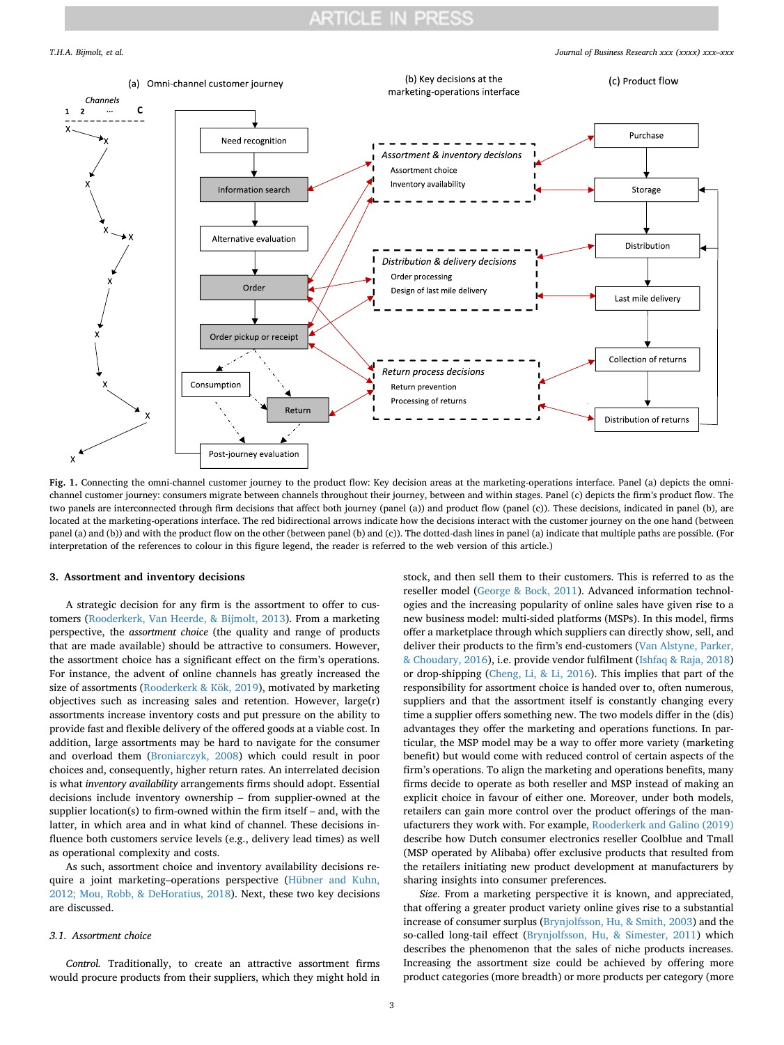*T.H.A. Bijmolt, et al. Journal of Business Research xxx (xxxx) xxx–xxx*

<span id="page-2-1"></span>

**Fig. 1.** Connecting the omni-channel customer journey to the product flow: Key decision areas at the marketing-operations interface. Panel (a) depicts the omnichannel customer journey: consumers migrate between channels throughout their journey, between and within stages. Panel (c) depicts the firm's product flow. The two panels are interconnected through firm decisions that affect both journey (panel (a)) and product flow (panel (c)). These decisions, indicated in panel (b), are located at the marketing-operations interface. The red bidirectional arrows indicate how the decisions interact with the customer journey on the one hand (between panel (a) and (b)) and with the product flow on the other (between panel (b) and (c)). The dotted-dash lines in panel (a) indicate that multiple paths are possible. (For interpretation of the references to colour in this figure legend, the reader is referred to the web version of this article.)

#### <span id="page-2-0"></span>**3. Assortment and inventory decisions**

A strategic decision for any firm is the assortment to offer to customers [\(Rooderkerk, Van Heerde, & Bijmolt, 2013\)](#page-9-6). From a marketing perspective, the *assortment choice* (the quality and range of products that are made available) should be attractive to consumers. However, the assortment choice has a significant effect on the firm's operations. For instance, the advent of online channels has greatly increased the size of assortments [\(Rooderkerk & Kök, 2019](#page-9-2)), motivated by marketing objectives such as increasing sales and retention. However, large(r) assortments increase inventory costs and put pressure on the ability to provide fast and flexible delivery of the offered goods at a viable cost. In addition, large assortments may be hard to navigate for the consumer and overload them ([Broniarczyk, 2008](#page-9-7)) which could result in poor choices and, consequently, higher return rates. An interrelated decision is what *inventory availability* arrangements firms should adopt. Essential decisions include inventory ownership – from supplier-owned at the supplier location(s) to firm-owned within the firm itself – and, with the latter, in which area and in what kind of channel. These decisions influence both customers service levels (e.g., delivery lead times) as well as operational complexity and costs.

As such, assortment choice and inventory availability decisions require a joint marketing–operations perspective [\(Hübner and Kuhn,](#page-9-8) [2012; Mou, Robb, & DeHoratius, 2018](#page-9-8)). Next, these two key decisions are discussed.

#### *3.1. Assortment choice*

*Control.* Traditionally, to create an attractive assortment firms would procure products from their suppliers, which they might hold in

stock, and then sell them to their customers. This is referred to as the reseller model ([George & Bock, 2011\)](#page-9-9). Advanced information technologies and the increasing popularity of online sales have given rise to a new business model: multi-sided platforms (MSPs). In this model, firms offer a marketplace through which suppliers can directly show, sell, and deliver their products to the firm's end-customers ([Van Alstyne, Parker,](#page-10-2) [& Choudary, 2016\)](#page-10-2), i.e. provide vendor fulfilment ([Ishfaq & Raja, 2018\)](#page-9-10) or drop-shipping ([Cheng, Li, & Li, 2016\)](#page-9-11). This implies that part of the responsibility for assortment choice is handed over to, often numerous, suppliers and that the assortment itself is constantly changing every time a supplier offers something new. The two models differ in the (dis) advantages they offer the marketing and operations functions. In particular, the MSP model may be a way to offer more variety (marketing benefit) but would come with reduced control of certain aspects of the firm's operations. To align the marketing and operations benefits, many firms decide to operate as both reseller and MSP instead of making an explicit choice in favour of either one. Moreover, under both models, retailers can gain more control over the product offerings of the manufacturers they work with. For example, [Rooderkerk and Galino \(2019\)](#page-9-12) describe how Dutch consumer electronics reseller Coolblue and Tmall (MSP operated by Alibaba) offer exclusive products that resulted from the retailers initiating new product development at manufacturers by sharing insights into consumer preferences.

*Size*. From a marketing perspective it is known, and appreciated, that offering a greater product variety online gives rise to a substantial increase of consumer surplus [\(Brynjolfsson, Hu, & Smith, 2003](#page-9-13)) and the so-called long-tail effect [\(Brynjolfsson, Hu, & Simester, 2011](#page-9-14)) which describes the phenomenon that the sales of niche products increases. Increasing the assortment size could be achieved by offering more product categories (more breadth) or more products per category (more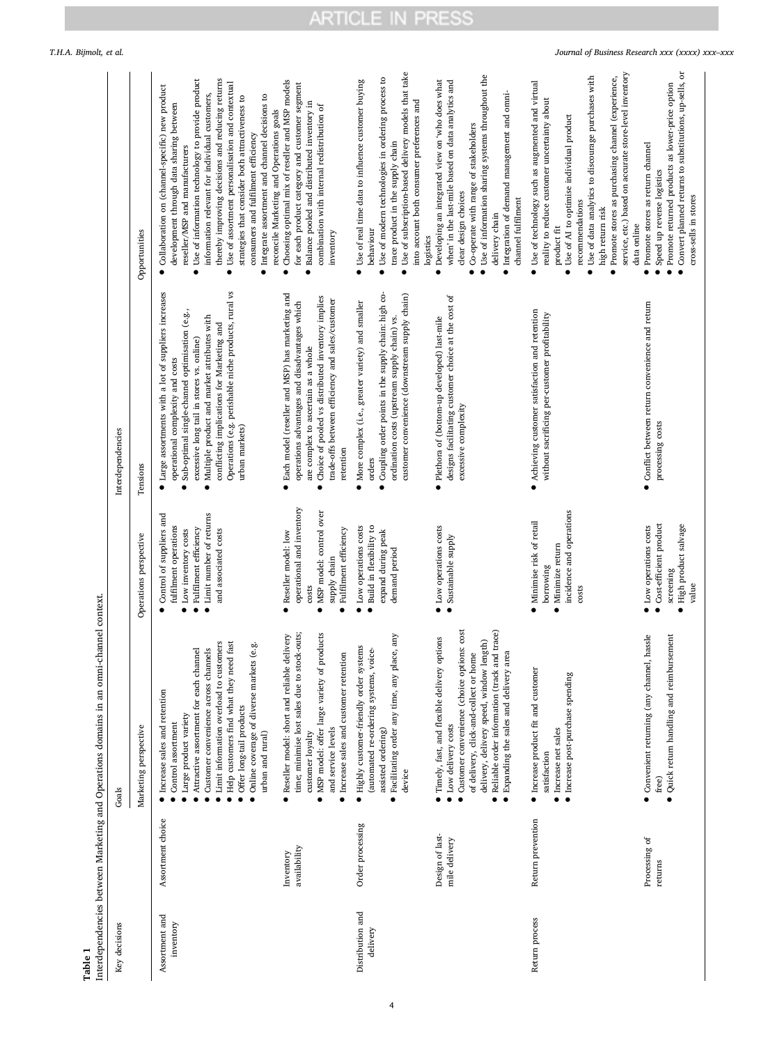| lariation on comparations domains in an omni-channal contavi<br>֖֖֖֪֪ׅ֪֪֪֪֪֪֪֪֪֦֚֚֚֚֚֚֚֚֚֚֚֚֚֚֚֚֡֝֓֡֡֡֬֝֓֡֡֝֓֓֡֡֬ |
|-------------------------------------------------------------------------------------------------------------------|
|                                                                                                                   |
| į                                                                                                                 |
| attaraam k                                                                                                        |
| くうこうこく<br>.<br>.<br>.                                                                                             |

<span id="page-3-0"></span>

| Key decisions                |                                  | Goals                                                                                                                                                                                                                                                                                                                                                 |                                                                                                                                                          | Interdependencies                                                                                                                                                                                                                                                                                                                                             |                                                                                                                                                                                                                                                                                                                                                                                                                                                                                                                                                 |
|------------------------------|----------------------------------|-------------------------------------------------------------------------------------------------------------------------------------------------------------------------------------------------------------------------------------------------------------------------------------------------------------------------------------------------------|----------------------------------------------------------------------------------------------------------------------------------------------------------|---------------------------------------------------------------------------------------------------------------------------------------------------------------------------------------------------------------------------------------------------------------------------------------------------------------------------------------------------------------|-------------------------------------------------------------------------------------------------------------------------------------------------------------------------------------------------------------------------------------------------------------------------------------------------------------------------------------------------------------------------------------------------------------------------------------------------------------------------------------------------------------------------------------------------|
|                              |                                  | Marketing perspective                                                                                                                                                                                                                                                                                                                                 | Operations perspective                                                                                                                                   | Tensions                                                                                                                                                                                                                                                                                                                                                      | Opportunities                                                                                                                                                                                                                                                                                                                                                                                                                                                                                                                                   |
| Assortment and<br>inventory  | Assortment choice                | Limit information overload to customers<br>• Help customers find what they need fast<br>e.s.<br>Customer convenience across channels<br>Attractive assortment for each channel<br>· Online coverage of diverse markets<br>Increase sales and retention<br>Offer long-tail products<br>Large product variety<br>Control assortment<br>urban and rural) | • Limit number of returns<br>Control of suppliers and<br>fulfilment operations<br>· Fulfilment efficiency<br>Low inventory costs<br>and associated costs | Operations (e.g. perishable niche products, rural vs<br>Large assortments with a lot of suppliers increases<br>Sub-optimal single-channel optimisation (e.g.,<br>Multiple product and market attributes with<br>conflicting implications for Marketing and<br>excessive long tail in stores vs. online)<br>operational complexity and costs<br>urban markets) | thereby improving decisions and reducing returns<br>Use of information technology to provide product<br>Use of assortment personalisation and contextual<br>Collaboration on (channel-specific) new product<br>information relevant for individual customers,<br>Integrate assortment and channel decisions to<br>strategies that consider both attractiveness to<br>development through data sharing between<br>reconcile Marketing and Operations goals<br>consumers and fulfilment efficiency<br>reseller/MSP and manufacturers<br>$\bullet$ |
|                              | availability<br>Inventory        | time; minimise lost sales due to stock-outs;<br>MSP model: offer large variety of products<br>· Reseller model: short and reliable delivery<br>Increase sales and customer retention<br>and service levels<br>customer loyalty<br>$\bullet$                                                                                                           | operational and inventory<br>MSP model: control over<br>Fulfilment efficiency<br>Reseller model: low<br>supply chain<br>costs<br>$\bullet$<br>$\bullet$  | • Each model (reseller and MSP) has marketing and<br>Choice of pooled vs distributed inventory implies<br>trade-offs between efficiency and sales/customer<br>operations advantages and disadvantages which<br>are complex to ascertain as a whole<br>retention                                                                                               | Choosing optimal mix of reseller and MSP models<br>for each product category and customer segment<br>Balance pooled and distributed inventory in<br>combination with internal redistribution of<br>inventory                                                                                                                                                                                                                                                                                                                                    |
| Distribution and<br>delivery | Order processing                 | e, any<br>· Highly customer-friendly order systems<br>(automated re-ordering systems, voice-<br>Facilitating order any time, any plac<br>assisted ordering)<br>device                                                                                                                                                                                 | Low operations costs<br>Build in flexibility to<br>expand during peak<br>demand period<br>$\bullet$<br>$\bullet$                                         | Coupling order points in the supply chain: high co-<br>customer convenience (downstream supply chain)<br>More complex (i.e., greater variety) and smaller<br>ordination costs (upstream supply chain) vs.<br>orders<br>ė                                                                                                                                      | • Use of subscription-based delivery models that take<br>Use of modern technologies in ordering process to<br>• Use of real time data to influence customer buying<br>into account both consumer preferences and<br>trace product in the supply chain<br>behaviour<br>logistics                                                                                                                                                                                                                                                                 |
|                              | Design of last-<br>mile delivery | · Customer convenience (choice options: cost<br>Reliable order information (track and trace)<br>• Timely, fast, and flexible delivery options<br>delivery, delivery speed, window length)<br>• Expanding the sales and delivery area<br>of delivery, click-and-collect or home<br>• Low delivery costs                                                | • Low operations costs<br>Sustainable supply<br>$\bullet$                                                                                                | designs facilitating customer choice at the cost of<br>· Plethora of (bottom-up developed) last-mile<br>excessive complexity                                                                                                                                                                                                                                  | Use of information sharing systems throughout the<br>Developing an integrated view on 'who does what<br>when' in the last-mile based on data analytics and<br>Integration of demand management and omni-<br>Co-operate with range of stakeholders<br>clear design choices<br>channel fulfilment<br>delivery chain                                                                                                                                                                                                                               |
| Return process               | Return prevention                | • Increase product fit and customer<br>· Increase post-purchase spending<br>Increase net sales<br>satisfaction                                                                                                                                                                                                                                        | incidence and operations<br>• Minimise risk of retail<br>Minimize return<br>borrowing<br>costs<br>$\bullet$                                              | • Achieving customer satisfaction and retention<br>without sacrificing per-customer profitability                                                                                                                                                                                                                                                             | service, etc.) based on accurate store-level inventory<br>• Use of data analytics to discourage purchases with<br>Promote stores as purchasing channel (experience,<br>• Use of technology such as augmented and virtual<br>reality to reduce customer uncertainty about<br>• Use of AI to optimise individual product<br>recommendations<br>high return risk<br>data online<br>product fit                                                                                                                                                     |
|                              | Processing of<br>returns         | hassle<br>$\bullet$ Quick return handling and reimbursement<br>Convenient returning (any channel,<br>free)                                                                                                                                                                                                                                            | Cost-efficient product<br>· High product salvage<br>• Low operations costs<br>$s$ creening<br>value                                                      | Conflict between return convenience and return<br>processing costs                                                                                                                                                                                                                                                                                            | Convert planned returns to substitutions, up-sells, or<br>Promote returned products as lower-price option<br>Promote stores as return channel<br>Speed up reverse logistics<br>cross-sells in stores                                                                                                                                                                                                                                                                                                                                            |

4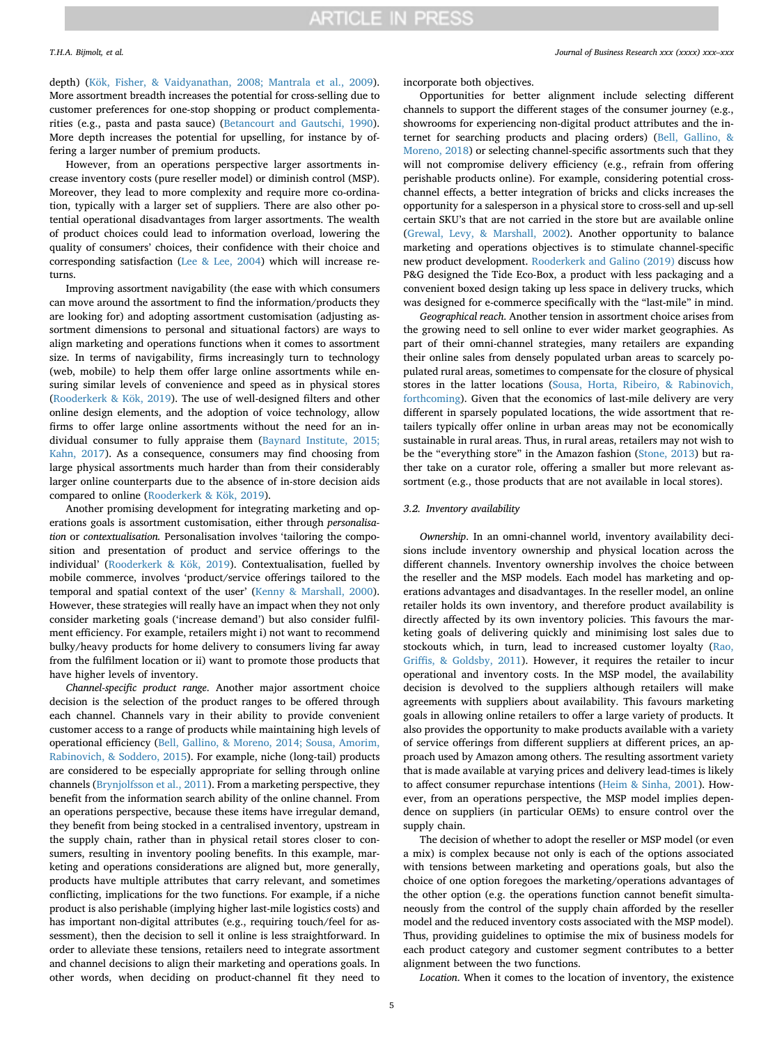depth) ([Kök, Fisher, & Vaidyanathan, 2008; Mantrala et al., 2009](#page-9-15)). More assortment breadth increases the potential for cross-selling due to customer preferences for one-stop shopping or product complementarities (e.g., pasta and pasta sauce) [\(Betancourt and Gautschi, 1990](#page-9-16)). More depth increases the potential for upselling, for instance by offering a larger number of premium products.

However, from an operations perspective larger assortments increase inventory costs (pure reseller model) or diminish control (MSP). Moreover, they lead to more complexity and require more co-ordination, typically with a larger set of suppliers. There are also other potential operational disadvantages from larger assortments. The wealth of product choices could lead to information overload, lowering the quality of consumers' choices, their confidence with their choice and corresponding satisfaction ([Lee & Lee, 2004](#page-9-17)) which will increase returns.

Improving assortment navigability (the ease with which consumers can move around the assortment to find the information/products they are looking for) and adopting assortment customisation (adjusting assortment dimensions to personal and situational factors) are ways to align marketing and operations functions when it comes to assortment size. In terms of navigability, firms increasingly turn to technology (web, mobile) to help them offer large online assortments while ensuring similar levels of convenience and speed as in physical stores ([Rooderkerk & Kök, 2019\)](#page-9-2). The use of well-designed filters and other online design elements, and the adoption of voice technology, allow firms to offer large online assortments without the need for an individual consumer to fully appraise them [\(Baynard Institute, 2015;](#page-9-18) [Kahn, 2017\)](#page-9-18). As a consequence, consumers may find choosing from large physical assortments much harder than from their considerably larger online counterparts due to the absence of in-store decision aids compared to online ([Rooderkerk & Kök, 2019\)](#page-9-2).

Another promising development for integrating marketing and operations goals is assortment customisation, either through *personalisation* or *contextualisation.* Personalisation involves 'tailoring the composition and presentation of product and service offerings to the individual' [\(Rooderkerk & Kök, 2019\)](#page-9-2). Contextualisation, fuelled by mobile commerce, involves 'product/service offerings tailored to the temporal and spatial context of the user' [\(Kenny & Marshall, 2000](#page-9-19)). However, these strategies will really have an impact when they not only consider marketing goals ('increase demand') but also consider fulfilment efficiency. For example, retailers might i) not want to recommend bulky/heavy products for home delivery to consumers living far away from the fulfilment location or ii) want to promote those products that have higher levels of inventory.

*Channel-specific product range*. Another major assortment choice decision is the selection of the product ranges to be offered through each channel. Channels vary in their ability to provide convenient customer access to a range of products while maintaining high levels of operational efficiency [\(Bell, Gallino, & Moreno, 2014; Sousa, Amorim,](#page-9-20) [Rabinovich, & Soddero, 2015\)](#page-9-20). For example, niche (long-tail) products are considered to be especially appropriate for selling through online channels [\(Brynjolfsson et al., 2011\)](#page-9-14). From a marketing perspective, they benefit from the information search ability of the online channel. From an operations perspective, because these items have irregular demand, they benefit from being stocked in a centralised inventory, upstream in the supply chain, rather than in physical retail stores closer to consumers, resulting in inventory pooling benefits. In this example, marketing and operations considerations are aligned but, more generally, products have multiple attributes that carry relevant, and sometimes conflicting, implications for the two functions. For example, if a niche product is also perishable (implying higher last-mile logistics costs) and has important non-digital attributes (e.g., requiring touch/feel for assessment), then the decision to sell it online is less straightforward. In order to alleviate these tensions, retailers need to integrate assortment and channel decisions to align their marketing and operations goals. In other words, when deciding on product-channel fit they need to

*T.H.A. Bijmolt, et al. Journal of Business Research xxx (xxxx) xxx–xxx*

incorporate both objectives.

Opportunities for better alignment include selecting different channels to support the different stages of the consumer journey (e.g., showrooms for experiencing non-digital product attributes and the internet for searching products and placing orders) ([Bell, Gallino, &](#page-9-21) [Moreno, 2018](#page-9-21)) or selecting channel-specific assortments such that they will not compromise delivery efficiency (e.g., refrain from offering perishable products online). For example, considering potential crosschannel effects, a better integration of bricks and clicks increases the opportunity for a salesperson in a physical store to cross-sell and up-sell certain SKU's that are not carried in the store but are available online ([Grewal, Levy, & Marshall, 2002](#page-9-22)). Another opportunity to balance marketing and operations objectives is to stimulate channel-specific new product development. [Rooderkerk and Galino \(2019\)](#page-9-12) discuss how P&G designed the Tide Eco-Box, a product with less packaging and a convenient boxed design taking up less space in delivery trucks, which was designed for e-commerce specifically with the "last-mile" in mind.

*Geographical reach*. Another tension in assortment choice arises from the growing need to sell online to ever wider market geographies. As part of their omni-channel strategies, many retailers are expanding their online sales from densely populated urban areas to scarcely populated rural areas, sometimes to compensate for the closure of physical stores in the latter locations [\(Sousa, Horta, Ribeiro, & Rabinovich,](#page-10-3) [forthcoming\)](#page-10-3). Given that the economics of last-mile delivery are very different in sparsely populated locations, the wide assortment that retailers typically offer online in urban areas may not be economically sustainable in rural areas. Thus, in rural areas, retailers may not wish to be the "everything store" in the Amazon fashion [\(Stone, 2013\)](#page-10-4) but rather take on a curator role, offering a smaller but more relevant assortment (e.g., those products that are not available in local stores).

#### *3.2. Inventory availability*

*Ownership*. In an omni-channel world, inventory availability decisions include inventory ownership and physical location across the different channels. Inventory ownership involves the choice between the reseller and the MSP models. Each model has marketing and operations advantages and disadvantages. In the reseller model, an online retailer holds its own inventory, and therefore product availability is directly affected by its own inventory policies. This favours the marketing goals of delivering quickly and minimising lost sales due to stockouts which, in turn, lead to increased customer loyalty ([Rao,](#page-9-23) [Griffis, & Goldsby, 2011](#page-9-23)). However, it requires the retailer to incur operational and inventory costs. In the MSP model, the availability decision is devolved to the suppliers although retailers will make agreements with suppliers about availability. This favours marketing goals in allowing online retailers to offer a large variety of products. It also provides the opportunity to make products available with a variety of service offerings from different suppliers at different prices, an approach used by Amazon among others. The resulting assortment variety that is made available at varying prices and delivery lead-times is likely to affect consumer repurchase intentions ([Heim & Sinha, 2001\)](#page-9-24). However, from an operations perspective, the MSP model implies dependence on suppliers (in particular OEMs) to ensure control over the supply chain.

The decision of whether to adopt the reseller or MSP model (or even a mix) is complex because not only is each of the options associated with tensions between marketing and operations goals, but also the choice of one option foregoes the marketing/operations advantages of the other option (e.g. the operations function cannot benefit simultaneously from the control of the supply chain afforded by the reseller model and the reduced inventory costs associated with the MSP model). Thus, providing guidelines to optimise the mix of business models for each product category and customer segment contributes to a better alignment between the two functions.

*Location*. When it comes to the location of inventory, the existence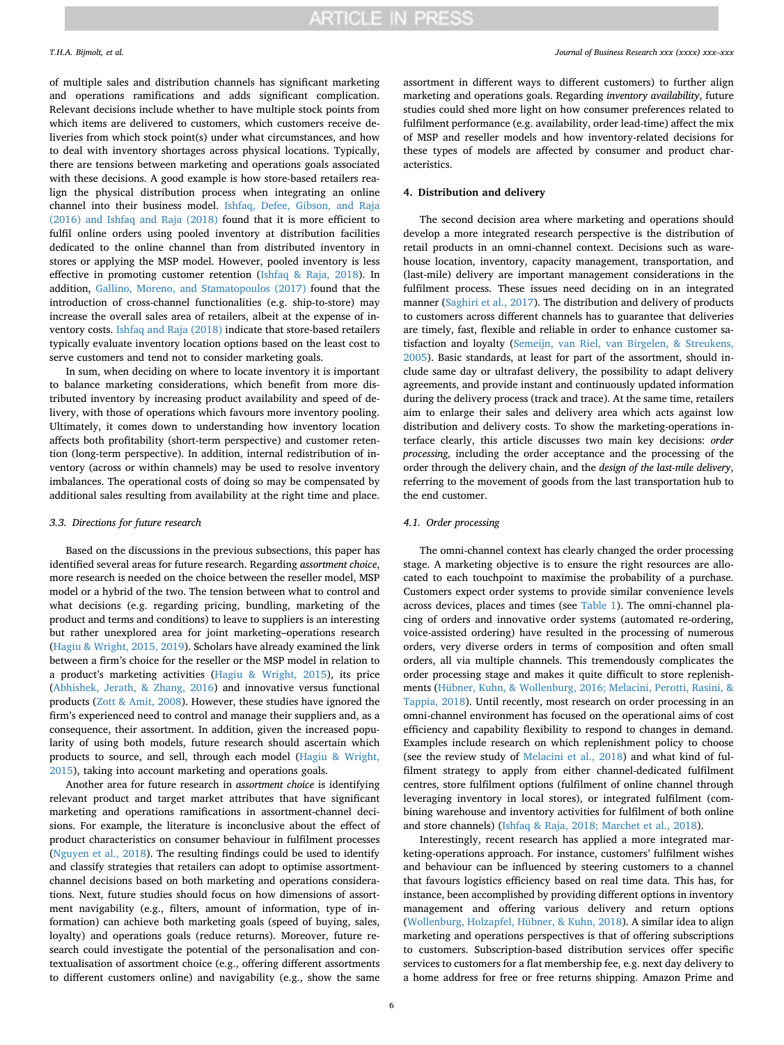of multiple sales and distribution channels has significant marketing and operations ramifications and adds significant complication. Relevant decisions include whether to have multiple stock points from which items are delivered to customers, which customers receive deliveries from which stock point(s) under what circumstances, and how to deal with inventory shortages across physical locations. Typically, there are tensions between marketing and operations goals associated with these decisions. A good example is how store-based retailers realign the physical distribution process when integrating an online channel into their business model. [Ishfaq, Defee, Gibson, and Raja](#page-9-25) [\(2016\) and Ishfaq and Raja \(2018\)](#page-9-25) found that it is more efficient to fulfil online orders using pooled inventory at distribution facilities dedicated to the online channel than from distributed inventory in stores or applying the MSP model. However, pooled inventory is less effective in promoting customer retention [\(Ishfaq & Raja, 2018](#page-9-10)). In addition, [Gallino, Moreno, and Stamatopoulos \(2017\)](#page-9-26) found that the introduction of cross-channel functionalities (e.g. ship-to-store) may increase the overall sales area of retailers, albeit at the expense of inventory costs. [Ishfaq and Raja \(2018\)](#page-9-10) indicate that store-based retailers typically evaluate inventory location options based on the least cost to serve customers and tend not to consider marketing goals.

In sum, when deciding on where to locate inventory it is important to balance marketing considerations, which benefit from more distributed inventory by increasing product availability and speed of delivery, with those of operations which favours more inventory pooling. Ultimately, it comes down to understanding how inventory location affects both profitability (short-term perspective) and customer retention (long-term perspective). In addition, internal redistribution of inventory (across or within channels) may be used to resolve inventory imbalances. The operational costs of doing so may be compensated by additional sales resulting from availability at the right time and place.

#### *3.3. Directions for future research*

Based on the discussions in the previous subsections, this paper has identified several areas for future research. Regarding *assortment choice*, more research is needed on the choice between the reseller model, MSP model or a hybrid of the two. The tension between what to control and what decisions (e.g. regarding pricing, bundling, marketing of the product and terms and conditions) to leave to suppliers is an interesting but rather unexplored area for joint marketing–operations research ([Hagiu & Wright, 2015, 2019](#page-9-27)). Scholars have already examined the link between a firm's choice for the reseller or the MSP model in relation to a product's marketing activities [\(Hagiu & Wright, 2015](#page-9-27)), its price ([Abhishek, Jerath, & Zhang, 2016\)](#page-9-28) and innovative versus functional products [\(Zott & Amit, 2008\)](#page-10-5). However, these studies have ignored the firm's experienced need to control and manage their suppliers and, as a consequence, their assortment. In addition, given the increased popularity of using both models, future research should ascertain which products to source, and sell, through each model ([Hagiu & Wright,](#page-9-27) [2015\)](#page-9-27), taking into account marketing and operations goals.

Another area for future research in *assortment choice* is identifying relevant product and target market attributes that have significant marketing and operations ramifications in assortment-channel decisions. For example, the literature is inconclusive about the effect of product characteristics on consumer behaviour in fulfilment processes ([Nguyen et al., 2018](#page-9-3)). The resulting findings could be used to identify and classify strategies that retailers can adopt to optimise assortmentchannel decisions based on both marketing and operations considerations. Next, future studies should focus on how dimensions of assortment navigability (e.g., filters, amount of information, type of information) can achieve both marketing goals (speed of buying, sales, loyalty) and operations goals (reduce returns). Moreover, future research could investigate the potential of the personalisation and contextualisation of assortment choice (e.g., offering different assortments to different customers online) and navigability (e.g., show the same assortment in different ways to different customers) to further align marketing and operations goals. Regarding *inventory availability*, future studies could shed more light on how consumer preferences related to fulfilment performance (e.g. availability, order lead-time) affect the mix of MSP and reseller models and how inventory-related decisions for these types of models are affected by consumer and product characteristics.

### **4. Distribution and delivery**

The second decision area where marketing and operations should develop a more integrated research perspective is the distribution of retail products in an omni-channel context. Decisions such as warehouse location, inventory, capacity management, transportation, and (last-mile) delivery are important management considerations in the fulfilment process. These issues need deciding on in an integrated manner ([Saghiri et al., 2017\)](#page-9-29). The distribution and delivery of products to customers across different channels has to guarantee that deliveries are timely, fast, flexible and reliable in order to enhance customer satisfaction and loyalty [\(Semeijn, van Riel, van Birgelen, & Streukens,](#page-9-30) [2005\)](#page-9-30). Basic standards, at least for part of the assortment, should include same day or ultrafast delivery, the possibility to adapt delivery agreements, and provide instant and continuously updated information during the delivery process (track and trace). At the same time, retailers aim to enlarge their sales and delivery area which acts against low distribution and delivery costs. To show the marketing-operations interface clearly, this article discusses two main key decisions: *order processing*, including the order acceptance and the processing of the order through the delivery chain, and the *design of the last-mile delivery*, referring to the movement of goods from the last transportation hub to the end customer.

#### *4.1. Order processing*

The omni-channel context has clearly changed the order processing stage. A marketing objective is to ensure the right resources are allocated to each touchpoint to maximise the probability of a purchase. Customers expect order systems to provide similar convenience levels across devices, places and times (see [Table 1\)](#page-3-0). The omni-channel placing of orders and innovative order systems (automated re-ordering, voice-assisted ordering) have resulted in the processing of numerous orders, very diverse orders in terms of composition and often small orders, all via multiple channels. This tremendously complicates the order processing stage and makes it quite difficult to store replenishments ([Hübner, Kuhn, & Wollenburg, 2016; Melacini, Perotti, Rasini, &](#page-9-31) [Tappia, 2018\)](#page-9-31). Until recently, most research on order processing in an omni-channel environment has focused on the operational aims of cost efficiency and capability flexibility to respond to changes in demand. Examples include research on which replenishment policy to choose (see the review study of [Melacini et al., 2018](#page-9-32)) and what kind of fulfilment strategy to apply from either channel-dedicated fulfilment centres, store fulfilment options (fulfilment of online channel through leveraging inventory in local stores), or integrated fulfilment (combining warehouse and inventory activities for fulfilment of both online and store channels) ([Ishfaq & Raja, 2018; Marchet et al., 2018\)](#page-9-10).

Interestingly, recent research has applied a more integrated marketing-operations approach. For instance, customers' fulfilment wishes and behaviour can be influenced by steering customers to a channel that favours logistics efficiency based on real time data. This has, for instance, been accomplished by providing different options in inventory management and offering various delivery and return options ([Wollenburg, Holzapfel, Hübner, & Kuhn, 2018\)](#page-10-6). A similar idea to align marketing and operations perspectives is that of offering subscriptions to customers. Subscription-based distribution services offer specific services to customers for a flat membership fee, e.g. next day delivery to a home address for free or free returns shipping. Amazon Prime and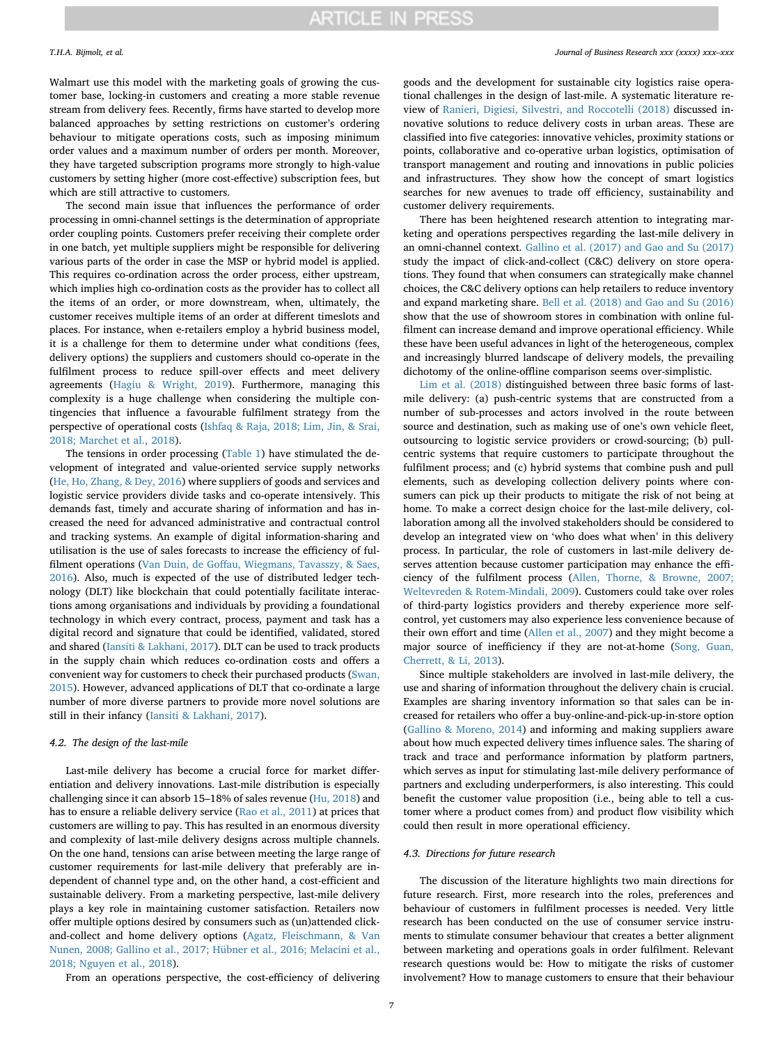Walmart use this model with the marketing goals of growing the customer base, locking-in customers and creating a more stable revenue stream from delivery fees. Recently, firms have started to develop more balanced approaches by setting restrictions on customer's ordering behaviour to mitigate operations costs, such as imposing minimum order values and a maximum number of orders per month. Moreover, they have targeted subscription programs more strongly to high-value customers by setting higher (more cost-effective) subscription fees, but which are still attractive to customers.

The second main issue that influences the performance of order processing in omni-channel settings is the determination of appropriate order coupling points. Customers prefer receiving their complete order in one batch, yet multiple suppliers might be responsible for delivering various parts of the order in case the MSP or hybrid model is applied. This requires co-ordination across the order process, either upstream, which implies high co-ordination costs as the provider has to collect all the items of an order, or more downstream, when, ultimately, the customer receives multiple items of an order at different timeslots and places. For instance, when e-retailers employ a hybrid business model, it is a challenge for them to determine under what conditions (fees, delivery options) the suppliers and customers should co-operate in the fulfilment process to reduce spill-over effects and meet delivery agreements [\(Hagiu & Wright, 2019](#page-9-33)). Furthermore, managing this complexity is a huge challenge when considering the multiple contingencies that influence a favourable fulfilment strategy from the perspective of operational costs [\(Ishfaq & Raja, 2018; Lim, Jin, & Srai,](#page-9-10) [2018; Marchet et al., 2018\)](#page-9-10).

The tensions in order processing ([Table 1\)](#page-3-0) have stimulated the development of integrated and value-oriented service supply networks ([He, Ho, Zhang, & Dey, 2016](#page-9-34)) where suppliers of goods and services and logistic service providers divide tasks and co-operate intensively. This demands fast, timely and accurate sharing of information and has increased the need for advanced administrative and contractual control and tracking systems. An example of digital information-sharing and utilisation is the use of sales forecasts to increase the efficiency of fulfilment operations [\(Van Duin, de Goffau, Wiegmans, Tavasszy, & Saes,](#page-10-7) [2016\)](#page-10-7). Also, much is expected of the use of distributed ledger technology (DLT) like blockchain that could potentially facilitate interactions among organisations and individuals by providing a foundational technology in which every contract, process, payment and task has a digital record and signature that could be identified, validated, stored and shared [\(Iansiti & Lakhani, 2017\)](#page-9-35). DLT can be used to track products in the supply chain which reduces co-ordination costs and offers a convenient way for customers to check their purchased products [\(Swan,](#page-10-8) [2015\)](#page-10-8). However, advanced applications of DLT that co-ordinate a large number of more diverse partners to provide more novel solutions are still in their infancy ([Iansiti & Lakhani, 2017\)](#page-9-35).

#### *4.2. The design of the last-mile*

Last-mile delivery has become a crucial force for market differentiation and delivery innovations. Last-mile distribution is especially challenging since it can absorb 15–18% of sales revenue [\(Hu, 2018\)](#page-9-36) and has to ensure a reliable delivery service ([Rao et al., 2011](#page-9-23)) at prices that customers are willing to pay. This has resulted in an enormous diversity and complexity of last-mile delivery designs across multiple channels. On the one hand, tensions can arise between meeting the large range of customer requirements for last-mile delivery that preferably are independent of channel type and, on the other hand, a cost-efficient and sustainable delivery. From a marketing perspective, last-mile delivery plays a key role in maintaining customer satisfaction. Retailers now offer multiple options desired by consumers such as (un)attended clickand-collect and home delivery options ([Agatz, Fleischmann, & Van](#page-9-37) [Nunen, 2008; Gallino et al., 2017; Hübner et al., 2016; Melacini et al.,](#page-9-37) [2018; Nguyen et al., 2018\)](#page-9-37).

From an operations perspective, the cost-efficiency of delivering

goods and the development for sustainable city logistics raise operational challenges in the design of last-mile. A systematic literature review of [Ranieri, Digiesi, Silvestri, and Roccotelli \(2018\)](#page-9-38) discussed innovative solutions to reduce delivery costs in urban areas. These are classified into five categories: innovative vehicles, proximity stations or points, collaborative and co-operative urban logistics, optimisation of transport management and routing and innovations in public policies and infrastructures. They show how the concept of smart logistics searches for new avenues to trade off efficiency, sustainability and customer delivery requirements.

There has been heightened research attention to integrating marketing and operations perspectives regarding the last-mile delivery in an omni-channel context. [Gallino et al. \(2017\) and Gao and Su \(2017\)](#page-9-26) study the impact of click-and-collect (C&C) delivery on store operations. They found that when consumers can strategically make channel choices, the C&C delivery options can help retailers to reduce inventory and expand marketing share. [Bell et al. \(2018\) and Gao and Su \(2016\)](#page-9-21) show that the use of showroom stores in combination with online fulfilment can increase demand and improve operational efficiency. While these have been useful advances in light of the heterogeneous, complex and increasingly blurred landscape of delivery models, the prevailing dichotomy of the online-offline comparison seems over-simplistic.

[Lim et al. \(2018\)](#page-9-39) distinguished between three basic forms of lastmile delivery: (a) push-centric systems that are constructed from a number of sub-processes and actors involved in the route between source and destination, such as making use of one's own vehicle fleet, outsourcing to logistic service providers or crowd-sourcing; (b) pullcentric systems that require customers to participate throughout the fulfilment process; and (c) hybrid systems that combine push and pull elements, such as developing collection delivery points where consumers can pick up their products to mitigate the risk of not being at home. To make a correct design choice for the last-mile delivery, collaboration among all the involved stakeholders should be considered to develop an integrated view on 'who does what when' in this delivery process. In particular, the role of customers in last-mile delivery deserves attention because customer participation may enhance the efficiency of the fulfilment process [\(Allen, Thorne, & Browne, 2007;](#page-9-40) [Weltevreden & Rotem-Mindali, 2009\)](#page-9-40). Customers could take over roles of third-party logistics providers and thereby experience more selfcontrol, yet customers may also experience less convenience because of their own effort and time [\(Allen et al., 2007\)](#page-9-40) and they might become a major source of inefficiency if they are not-at-home ([Song, Guan,](#page-10-9) [Cherrett, & Li, 2013](#page-10-9)).

Since multiple stakeholders are involved in last-mile delivery, the use and sharing of information throughout the delivery chain is crucial. Examples are sharing inventory information so that sales can be increased for retailers who offer a buy-online-and-pick-up-in-store option ([Gallino & Moreno, 2014\)](#page-9-41) and informing and making suppliers aware about how much expected delivery times influence sales. The sharing of track and trace and performance information by platform partners, which serves as input for stimulating last-mile delivery performance of partners and excluding underperformers, is also interesting. This could benefit the customer value proposition (i.e., being able to tell a customer where a product comes from) and product flow visibility which could then result in more operational efficiency.

#### *4.3. Directions for future research*

The discussion of the literature highlights two main directions for future research. First, more research into the roles, preferences and behaviour of customers in fulfilment processes is needed. Very little research has been conducted on the use of consumer service instruments to stimulate consumer behaviour that creates a better alignment between marketing and operations goals in order fulfilment. Relevant research questions would be: How to mitigate the risks of customer involvement? How to manage customers to ensure that their behaviour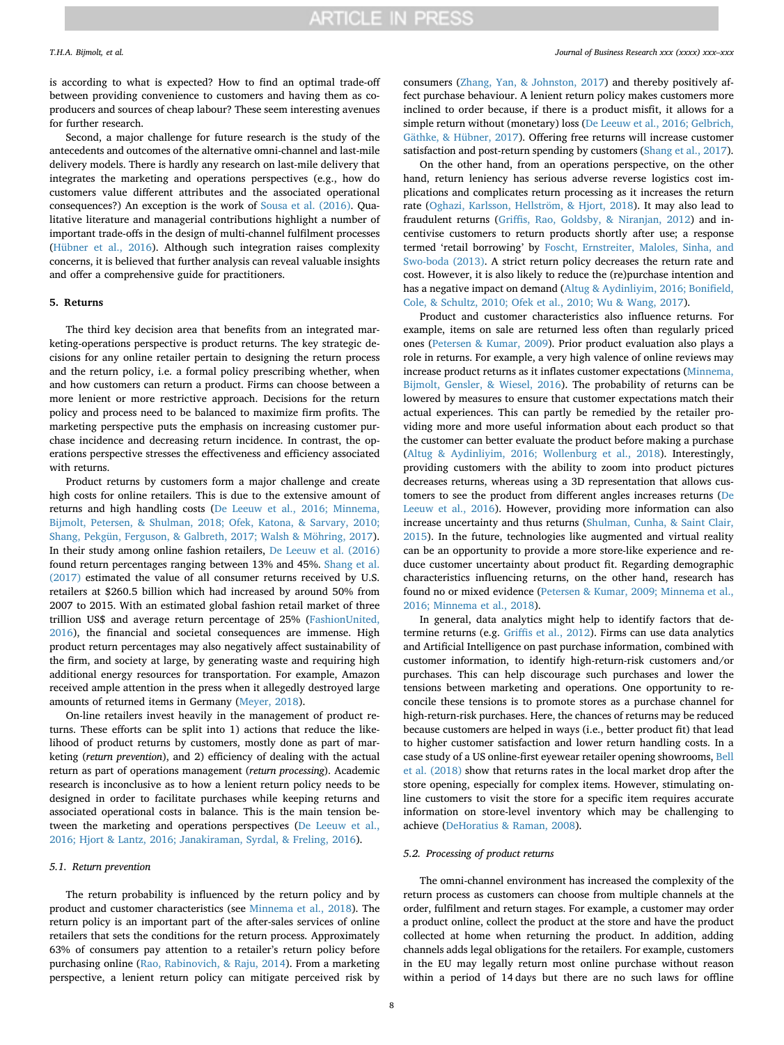is according to what is expected? How to find an optimal trade-off between providing convenience to customers and having them as coproducers and sources of cheap labour? These seem interesting avenues for further research.

Second, a major challenge for future research is the study of the antecedents and outcomes of the alternative omni-channel and last-mile delivery models. There is hardly any research on last-mile delivery that integrates the marketing and operations perspectives (e.g., how do customers value different attributes and the associated operational consequences?) An exception is the work of [Sousa et al. \(2016\).](#page-10-1) Qualitative literature and managerial contributions highlight a number of important trade-offs in the design of multi-channel fulfilment processes ([Hübner et al., 2016](#page-9-31)). Although such integration raises complexity concerns, it is believed that further analysis can reveal valuable insights and offer a comprehensive guide for practitioners.

### **5. Returns**

The third key decision area that benefits from an integrated marketing-operations perspective is product returns. The key strategic decisions for any online retailer pertain to designing the return process and the return policy, i.e. a formal policy prescribing whether, when and how customers can return a product. Firms can choose between a more lenient or more restrictive approach. Decisions for the return policy and process need to be balanced to maximize firm profits. The marketing perspective puts the emphasis on increasing customer purchase incidence and decreasing return incidence. In contrast, the operations perspective stresses the effectiveness and efficiency associated with returns.

Product returns by customers form a major challenge and create high costs for online retailers. This is due to the extensive amount of returns and high handling costs [\(De Leeuw et al., 2016; Minnema,](#page-9-5) [Bijmolt, Petersen, & Shulman, 2018; Ofek, Katona, & Sarvary, 2010;](#page-9-5) [Shang, Pekgün, Ferguson, & Galbreth, 2017; Walsh & Möhring, 2017](#page-9-5)). In their study among online fashion retailers, [De Leeuw et al. \(2016\)](#page-9-5) found return percentages ranging between 13% and 45%. [Shang et al.](#page-9-42) [\(2017\)](#page-9-42) estimated the value of all consumer returns received by U.S. retailers at \$260.5 billion which had increased by around 50% from 2007 to 2015. With an estimated global fashion retail market of three trillion US\$ and average return percentage of 25% [\(FashionUnited,](#page-9-43) [2016\)](#page-9-43), the financial and societal consequences are immense. High product return percentages may also negatively affect sustainability of the firm, and society at large, by generating waste and requiring high additional energy resources for transportation. For example, Amazon received ample attention in the press when it allegedly destroyed large amounts of returned items in Germany ([Meyer, 2018\)](#page-9-44).

On-line retailers invest heavily in the management of product returns. These efforts can be split into 1) actions that reduce the likelihood of product returns by customers, mostly done as part of marketing (*return prevention*), and 2) efficiency of dealing with the actual return as part of operations management (*return processing*). Academic research is inconclusive as to how a lenient return policy needs to be designed in order to facilitate purchases while keeping returns and associated operational costs in balance. This is the main tension between the marketing and operations perspectives ([De Leeuw et al.,](#page-9-5) [2016; Hjort & Lantz, 2016; Janakiraman, Syrdal, & Freling, 2016](#page-9-5)).

### *5.1. Return prevention*

The return probability is influenced by the return policy and by product and customer characteristics (see [Minnema et al., 2018](#page-9-45)). The return policy is an important part of the after-sales services of online retailers that sets the conditions for the return process. Approximately 63% of consumers pay attention to a retailer's return policy before purchasing online ([Rao, Rabinovich, & Raju, 2014\)](#page-9-46). From a marketing perspective, a lenient return policy can mitigate perceived risk by

consumers ([Zhang, Yan, & Johnston, 2017](#page-10-10)) and thereby positively affect purchase behaviour. A lenient return policy makes customers more inclined to order because, if there is a product misfit, it allows for a simple return without (monetary) loss [\(De Leeuw et al., 2016; Gelbrich,](#page-9-5) [Gäthke, & Hübner, 2017](#page-9-5)). Offering free returns will increase customer satisfaction and post-return spending by customers [\(Shang et al., 2017](#page-9-42)).

On the other hand, from an operations perspective, on the other hand, return leniency has serious adverse reverse logistics cost implications and complicates return processing as it increases the return rate [\(Oghazi, Karlsson, Hellström, & Hjort, 2018](#page-9-47)). It may also lead to fraudulent returns ([Griffis, Rao, Goldsby, & Niranjan, 2012\)](#page-9-48) and incentivise customers to return products shortly after use; a response termed 'retail borrowing' by [Foscht, Ernstreiter, Maloles, Sinha, and](#page-9-49) [Swo-boda \(2013\)](#page-9-49). A strict return policy decreases the return rate and cost. However, it is also likely to reduce the (re)purchase intention and has a negative impact on demand ([Altug & Aydinliyim, 2016; Bonifield,](#page-9-50) [Cole, & Schultz, 2010; Ofek et al., 2010; Wu & Wang, 2017\)](#page-9-50).

Product and customer characteristics also influence returns. For example, items on sale are returned less often than regularly priced ones [\(Petersen & Kumar, 2009](#page-9-51)). Prior product evaluation also plays a role in returns. For example, a very high valence of online reviews may increase product returns as it inflates customer expectations [\(Minnema,](#page-9-52) [Bijmolt, Gensler, & Wiesel, 2016](#page-9-52)). The probability of returns can be lowered by measures to ensure that customer expectations match their actual experiences. This can partly be remedied by the retailer providing more and more useful information about each product so that the customer can better evaluate the product before making a purchase ([Altug & Aydinliyim, 2016; Wollenburg et al., 2018\)](#page-9-50). Interestingly, providing customers with the ability to zoom into product pictures decreases returns, whereas using a 3D representation that allows customers to see the product from different angles increases returns [\(De](#page-9-5) [Leeuw et al., 2016](#page-9-5)). However, providing more information can also increase uncertainty and thus returns ([Shulman, Cunha, & Saint Clair,](#page-10-11) [2015\)](#page-10-11). In the future, technologies like augmented and virtual reality can be an opportunity to provide a more store-like experience and reduce customer uncertainty about product fit. Regarding demographic characteristics influencing returns, on the other hand, research has found no or mixed evidence [\(Petersen & Kumar, 2009; Minnema et al.,](#page-9-51) [2016; Minnema et al., 2018](#page-9-51)).

In general, data analytics might help to identify factors that determine returns (e.g. [Griffis et al., 2012](#page-9-48)). Firms can use data analytics and Artificial Intelligence on past purchase information, combined with customer information, to identify high-return-risk customers and/or purchases. This can help discourage such purchases and lower the tensions between marketing and operations. One opportunity to reconcile these tensions is to promote stores as a purchase channel for high-return-risk purchases. Here, the chances of returns may be reduced because customers are helped in ways (i.e., better product fit) that lead to higher customer satisfaction and lower return handling costs. In a case study of a US online-first eyewear retailer opening showrooms, [Bell](#page-9-21) [et al. \(2018\)](#page-9-21) show that returns rates in the local market drop after the store opening, especially for complex items. However, stimulating online customers to visit the store for a specific item requires accurate information on store-level inventory which may be challenging to achieve [\(DeHoratius & Raman, 2008](#page-9-53)).

#### *5.2. Processing of product returns*

The omni-channel environment has increased the complexity of the return process as customers can choose from multiple channels at the order, fulfilment and return stages. For example, a customer may order a product online, collect the product at the store and have the product collected at home when returning the product. In addition, adding channels adds legal obligations for the retailers. For example, customers in the EU may legally return most online purchase without reason within a period of 14 days but there are no such laws for offline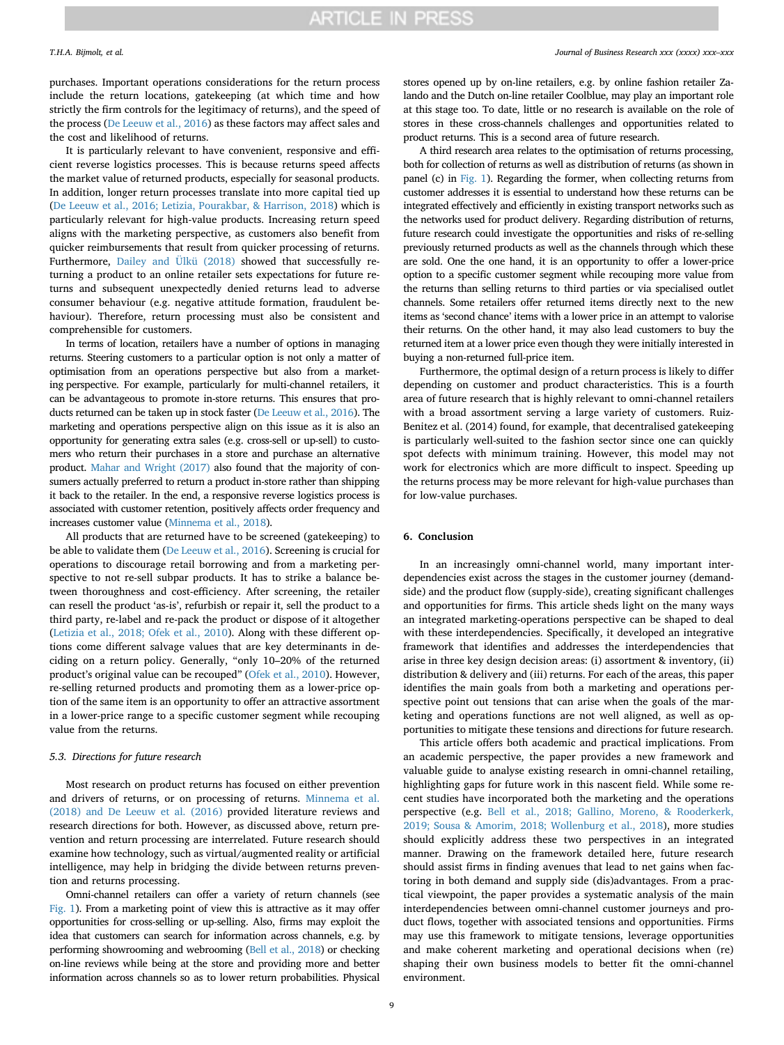purchases. Important operations considerations for the return process include the return locations, gatekeeping (at which time and how strictly the firm controls for the legitimacy of returns), and the speed of the process ([De Leeuw et al., 2016\)](#page-9-5) as these factors may affect sales and the cost and likelihood of returns.

It is particularly relevant to have convenient, responsive and efficient reverse logistics processes. This is because returns speed affects the market value of returned products, especially for seasonal products. In addition, longer return processes translate into more capital tied up ([De Leeuw et al., 2016; Letizia, Pourakbar, & Harrison, 2018\)](#page-9-5) which is particularly relevant for high-value products. Increasing return speed aligns with the marketing perspective, as customers also benefit from quicker reimbursements that result from quicker processing of returns. Furthermore, [Dailey and Ülkü \(2018\)](#page-9-54) showed that successfully returning a product to an online retailer sets expectations for future returns and subsequent unexpectedly denied returns lead to adverse consumer behaviour (e.g. negative attitude formation, fraudulent behaviour). Therefore, return processing must also be consistent and comprehensible for customers.

In terms of location, retailers have a number of options in managing returns. Steering customers to a particular option is not only a matter of optimisation from an operations perspective but also from a marketing perspective. For example, particularly for multi-channel retailers, it can be advantageous to promote in-store returns. This ensures that products returned can be taken up in stock faster ([De Leeuw et al., 2016\)](#page-9-5). The marketing and operations perspective align on this issue as it is also an opportunity for generating extra sales (e.g. cross-sell or up-sell) to customers who return their purchases in a store and purchase an alternative product. [Mahar and Wright \(2017\)](#page-9-55) also found that the majority of consumers actually preferred to return a product in-store rather than shipping it back to the retailer. In the end, a responsive reverse logistics process is associated with customer retention, positively affects order frequency and increases customer value [\(Minnema et al., 2018](#page-9-45)).

All products that are returned have to be screened (gatekeeping) to be able to validate them [\(De Leeuw et al., 2016\)](#page-9-5). Screening is crucial for operations to discourage retail borrowing and from a marketing perspective to not re-sell subpar products. It has to strike a balance between thoroughness and cost-efficiency. After screening, the retailer can resell the product 'as-is', refurbish or repair it, sell the product to a third party, re-label and re-pack the product or dispose of it altogether ([Letizia et al., 2018; Ofek et al., 2010](#page-9-56)). Along with these different options come different salvage values that are key determinants in deciding on a return policy. Generally, "only 10–20% of the returned product's original value can be recouped" [\(Ofek et al., 2010](#page-9-57)). However, re-selling returned products and promoting them as a lower-price option of the same item is an opportunity to offer an attractive assortment in a lower-price range to a specific customer segment while recouping value from the returns.

#### *5.3. Directions for future research*

Most research on product returns has focused on either prevention and drivers of returns, or on processing of returns. [Minnema et al.](#page-9-45) [\(2018\) and De Leeuw et al. \(2016\)](#page-9-45) provided literature reviews and research directions for both. However, as discussed above, return prevention and return processing are interrelated. Future research should examine how technology, such as virtual/augmented reality or artificial intelligence, may help in bridging the divide between returns prevention and returns processing.

Omni-channel retailers can offer a variety of return channels (see [Fig. 1](#page-2-1)). From a marketing point of view this is attractive as it may offer opportunities for cross-selling or up-selling. Also, firms may exploit the idea that customers can search for information across channels, e.g. by performing showrooming and webrooming ([Bell et al., 2018\)](#page-9-21) or checking on-line reviews while being at the store and providing more and better information across channels so as to lower return probabilities. Physical

#### *T.H.A. Bijmolt, et al. Journal of Business Research xxx (xxxx) xxx–xxx*

stores opened up by on-line retailers, e.g. by online fashion retailer Zalando and the Dutch on-line retailer Coolblue, may play an important role at this stage too. To date, little or no research is available on the role of stores in these cross-channels challenges and opportunities related to product returns. This is a second area of future research.

A third research area relates to the optimisation of returns processing, both for collection of returns as well as distribution of returns (as shown in panel (c) in [Fig. 1\)](#page-2-1). Regarding the former, when collecting returns from customer addresses it is essential to understand how these returns can be integrated effectively and efficiently in existing transport networks such as the networks used for product delivery. Regarding distribution of returns, future research could investigate the opportunities and risks of re-selling previously returned products as well as the channels through which these are sold. One the one hand, it is an opportunity to offer a lower-price option to a specific customer segment while recouping more value from the returns than selling returns to third parties or via specialised outlet channels. Some retailers offer returned items directly next to the new items as 'second chance' items with a lower price in an attempt to valorise their returns. On the other hand, it may also lead customers to buy the returned item at a lower price even though they were initially interested in buying a non-returned full-price item.

Furthermore, the optimal design of a return process is likely to differ depending on customer and product characteristics. This is a fourth area of future research that is highly relevant to omni-channel retailers with a broad assortment serving a large variety of customers. Ruiz-Benitez et al. (2014) found, for example, that decentralised gatekeeping is particularly well-suited to the fashion sector since one can quickly spot defects with minimum training. However, this model may not work for electronics which are more difficult to inspect. Speeding up the returns process may be more relevant for high-value purchases than for low-value purchases.

### <span id="page-8-0"></span>**6. Conclusion**

In an increasingly omni-channel world, many important interdependencies exist across the stages in the customer journey (demandside) and the product flow (supply-side), creating significant challenges and opportunities for firms. This article sheds light on the many ways an integrated marketing-operations perspective can be shaped to deal with these interdependencies. Specifically, it developed an integrative framework that identifies and addresses the interdependencies that arise in three key design decision areas: (i) assortment & inventory, (ii) distribution & delivery and (iii) returns. For each of the areas, this paper identifies the main goals from both a marketing and operations perspective point out tensions that can arise when the goals of the marketing and operations functions are not well aligned, as well as opportunities to mitigate these tensions and directions for future research.

This article offers both academic and practical implications. From an academic perspective, the paper provides a new framework and valuable guide to analyse existing research in omni-channel retailing, highlighting gaps for future work in this nascent field. While some recent studies have incorporated both the marketing and the operations perspective (e.g. [Bell et al., 2018; Gallino, Moreno, & Rooderkerk,](#page-9-21) [2019; Sousa & Amorim, 2018; Wollenburg et al., 2018\)](#page-9-21), more studies should explicitly address these two perspectives in an integrated manner. Drawing on the framework detailed here, future research should assist firms in finding avenues that lead to net gains when factoring in both demand and supply side (dis)advantages. From a practical viewpoint, the paper provides a systematic analysis of the main interdependencies between omni-channel customer journeys and product flows, together with associated tensions and opportunities. Firms may use this framework to mitigate tensions, leverage opportunities and make coherent marketing and operational decisions when (re) shaping their own business models to better fit the omni-channel environment.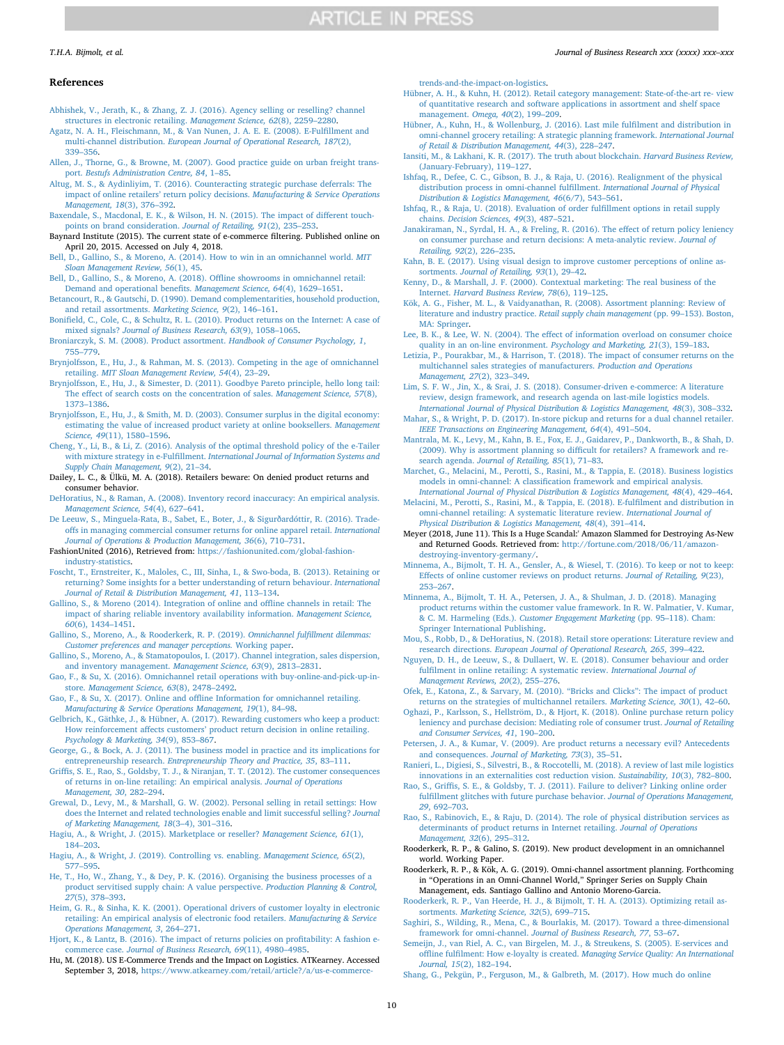#### **References**

- <span id="page-9-28"></span>[Abhishek, V., Jerath, K., & Zhang, Z. J. \(2016\). Agency selling or reselling? channel](http://refhub.elsevier.com/S0148-2963(19)30699-X/h0005) [structures in electronic retailing.](http://refhub.elsevier.com/S0148-2963(19)30699-X/h0005) *Management Science, 62*(8), 2259–2280.
- <span id="page-9-37"></span>[Agatz, N. A. H., Fleischmann, M., & Van Nunen, J. A. E. E. \(2008\). E-Fulfillment and](http://refhub.elsevier.com/S0148-2963(19)30699-X/h0010) multi-channel distribution. *[European Journal of Operational Research, 187](http://refhub.elsevier.com/S0148-2963(19)30699-X/h0010)*(2), [339–356](http://refhub.elsevier.com/S0148-2963(19)30699-X/h0010).
- <span id="page-9-40"></span>[Allen, J., Thorne, G., & Browne, M. \(2007\). Good practice guide on urban freight trans](http://refhub.elsevier.com/S0148-2963(19)30699-X/h0015)port. *[Bestufs Administration Centre, 84](http://refhub.elsevier.com/S0148-2963(19)30699-X/h0015)*, 1–85.
- <span id="page-9-50"></span>[Altug, M. S., & Aydinliyim, T. \(2016\). Counteracting strategic purchase deferrals: The](http://refhub.elsevier.com/S0148-2963(19)30699-X/h0020) [impact of online retailers' return policy decisions.](http://refhub.elsevier.com/S0148-2963(19)30699-X/h0020) *Manufacturing & Service Operations [Management, 18](http://refhub.elsevier.com/S0148-2963(19)30699-X/h0020)*(3), 376–392.
- <span id="page-9-4"></span>[Baxendale, S., Macdonal, E. K., & Wilson, H. N. \(2015\). The impact of different touch](http://refhub.elsevier.com/S0148-2963(19)30699-X/h0025)[points on brand consideration.](http://refhub.elsevier.com/S0148-2963(19)30699-X/h0025) *Journal of Retailing, 91*(2), 235–253.
- <span id="page-9-18"></span>Baynard Institute (2015). The current state of e-commerce filtering. Published online on April 20, 2015. Accessed on July 4, 2018.
- <span id="page-9-20"></span>[Bell, D., Gallino, S., & Moreno, A. \(2014\). How to win in an omnichannel world.](http://refhub.elsevier.com/S0148-2963(19)30699-X/h0035) *MIT [Sloan Management Review, 56](http://refhub.elsevier.com/S0148-2963(19)30699-X/h0035)*(1), 45.
- <span id="page-9-21"></span>[Bell, D., Gallino, S., & Moreno, A. \(2018\). Offline showrooms in omnichannel retail:](http://refhub.elsevier.com/S0148-2963(19)30699-X/h0040) [Demand and operational benefits.](http://refhub.elsevier.com/S0148-2963(19)30699-X/h0040) *Management Science, 64*(4), 1629–1651.
- <span id="page-9-16"></span>[Betancourt, R., & Gautschi, D. \(1990\). Demand complementarities, household production,](http://refhub.elsevier.com/S0148-2963(19)30699-X/h0045) [and retail assortments.](http://refhub.elsevier.com/S0148-2963(19)30699-X/h0045) *Marketing Science, 9*(2), 146–161.
- [Bonifield, C., Cole, C., & Schultz, R. L. \(2010\). Product returns on the Internet: A case of](http://refhub.elsevier.com/S0148-2963(19)30699-X/h0055) mixed signals? *[Journal of Business Research, 63](http://refhub.elsevier.com/S0148-2963(19)30699-X/h0055)*(9), 1058–1065.
- <span id="page-9-7"></span>[Broniarczyk, S. M. \(2008\). Product assortment.](http://refhub.elsevier.com/S0148-2963(19)30699-X/h0060) *Handbook of Consumer Psychology, 1*, [755–779](http://refhub.elsevier.com/S0148-2963(19)30699-X/h0060).
- <span id="page-9-1"></span>[Brynjolfsson, E., Hu, J., & Rahman, M. S. \(2013\). Competing in the age of omnichannel](http://refhub.elsevier.com/S0148-2963(19)30699-X/h0065) retailing. *[MIT Sloan Management Review, 54](http://refhub.elsevier.com/S0148-2963(19)30699-X/h0065)*(4), 23–29.
- <span id="page-9-14"></span>[Brynjolfsson, E., Hu, J., & Simester, D. \(2011\). Goodbye Pareto principle, hello long tail:](http://refhub.elsevier.com/S0148-2963(19)30699-X/h0070) [The effect of search costs on the concentration of sales.](http://refhub.elsevier.com/S0148-2963(19)30699-X/h0070) *Management Science, 57*(8), [1373–1386](http://refhub.elsevier.com/S0148-2963(19)30699-X/h0070).
- <span id="page-9-13"></span>[Brynjolfsson, E., Hu, J., & Smith, M. D. \(2003\). Consumer surplus in the digital economy:](http://refhub.elsevier.com/S0148-2963(19)30699-X/h0075) [estimating the value of increased product variety at online booksellers.](http://refhub.elsevier.com/S0148-2963(19)30699-X/h0075) *Management Science, 49*[\(11\), 1580–1596.](http://refhub.elsevier.com/S0148-2963(19)30699-X/h0075)
- <span id="page-9-11"></span>[Cheng, Y., Li, B., & Li, Z. \(2016\). Analysis of the optimal threshold policy of the e-Tailer](http://refhub.elsevier.com/S0148-2963(19)30699-X/h0080) with mixture strategy in e-Fulfillment. *[International Journal of Information Systems and](http://refhub.elsevier.com/S0148-2963(19)30699-X/h0080) [Supply Chain Management, 9](http://refhub.elsevier.com/S0148-2963(19)30699-X/h0080)*(2), 21–34.
- <span id="page-9-54"></span>Dailey, L. C., & Ülkü, M. A. (2018). Retailers beware: On denied product returns and consumer behavior.
- <span id="page-9-53"></span>[DeHoratius, N., & Raman, A. \(2008\). Inventory record inaccuracy: An empirical analysis.](http://refhub.elsevier.com/S0148-2963(19)30699-X/h0090) *[Management Science, 54](http://refhub.elsevier.com/S0148-2963(19)30699-X/h0090)*(4), 627–641.
- <span id="page-9-5"></span>[De Leeuw, S., Minguela-Rata, B., Sabet, E., Boter, J., & Sigurðardóttir, R. \(2016\). Trade](http://refhub.elsevier.com/S0148-2963(19)30699-X/h0095)[offs in managing commercial consumer returns for online apparel retail.](http://refhub.elsevier.com/S0148-2963(19)30699-X/h0095) *International [Journal of Operations & Production Management, 36](http://refhub.elsevier.com/S0148-2963(19)30699-X/h0095)*(6), 710–731.
- <span id="page-9-43"></span>FashionUnited (2016), Retrieved from: [https://fashionunited.com/global-fashion](https://fashionunited.com/global-fashion-industry-statistics)[industry-statistics](https://fashionunited.com/global-fashion-industry-statistics).
- <span id="page-9-49"></span>[Foscht, T., Ernstreiter, K., Maloles, C., III, Sinha, I., & Swo-boda, B. \(2013\). Retaining or](http://refhub.elsevier.com/S0148-2963(19)30699-X/h0105) [returning? Some insights for a better understanding of return behaviour.](http://refhub.elsevier.com/S0148-2963(19)30699-X/h0105) *International [Journal of Retail & Distribution Management, 41](http://refhub.elsevier.com/S0148-2963(19)30699-X/h0105)*, 113–134.
- <span id="page-9-41"></span>[Gallino, S., & Moreno \(2014\). Integration of online and offline channels in retail: The](http://refhub.elsevier.com/S0148-2963(19)30699-X/h0110) [impact of sharing reliable inventory availability information.](http://refhub.elsevier.com/S0148-2963(19)30699-X/h0110) *Management Science, 60*[\(6\), 1434–1451.](http://refhub.elsevier.com/S0148-2963(19)30699-X/h0110)
- [Gallino, S., Moreno, A., & Rooderkerk, R. P. \(2019\).](http://refhub.elsevier.com/S0148-2963(19)30699-X/h0115) *Omnichannel fulfillment dilemmas: [Customer preferences and manager perceptions.](http://refhub.elsevier.com/S0148-2963(19)30699-X/h0115)* Working paper.
- <span id="page-9-26"></span>[Gallino, S., Moreno, A., & Stamatopoulos, I. \(2017\). Channel integration, sales dispersion,](http://refhub.elsevier.com/S0148-2963(19)30699-X/h0120) [and inventory management.](http://refhub.elsevier.com/S0148-2963(19)30699-X/h0120) *Management Science, 63*(9), 2813–2831.
- [Gao, F., & Su, X. \(2016\). Omnichannel retail operations with buy-online-and-pick-up-in](http://refhub.elsevier.com/S0148-2963(19)30699-X/h0125)store. *[Management Science, 63](http://refhub.elsevier.com/S0148-2963(19)30699-X/h0125)*(8), 2478–2492.
- [Gao, F., & Su, X. \(2017\). Online and offline Information for omnichannel retailing.](http://refhub.elsevier.com/S0148-2963(19)30699-X/h0130) *[Manufacturing & Service Operations Management, 19](http://refhub.elsevier.com/S0148-2963(19)30699-X/h0130)*(1), 84–98.
- [Gelbrich, K., Gäthke, J., & Hübner, A. \(2017\). Rewarding customers who keep a product:](http://refhub.elsevier.com/S0148-2963(19)30699-X/h0135) [How reinforcement affects customers' product return decision in online retailing.](http://refhub.elsevier.com/S0148-2963(19)30699-X/h0135) *[Psychology & Marketing, 34](http://refhub.elsevier.com/S0148-2963(19)30699-X/h0135)*(9), 853–867.
- <span id="page-9-9"></span>[George, G., & Bock, A. J. \(2011\). The business model in practice and its implications for](http://refhub.elsevier.com/S0148-2963(19)30699-X/h0140) entrepreneurship research. *[Entrepreneurship Theory and Practice, 35](http://refhub.elsevier.com/S0148-2963(19)30699-X/h0140)*, 83–111.
- <span id="page-9-48"></span>[Griffis, S. E., Rao, S., Goldsby, T. J., & Niranjan, T. T. \(2012\). The customer consequences](http://refhub.elsevier.com/S0148-2963(19)30699-X/h0145) [of returns in on-line retailing: An empirical analysis.](http://refhub.elsevier.com/S0148-2963(19)30699-X/h0145) *Journal of Operations [Management, 30](http://refhub.elsevier.com/S0148-2963(19)30699-X/h0145)*, 282–294.
- <span id="page-9-22"></span>[Grewal, D., Levy, M., & Marshall, G. W. \(2002\). Personal selling in retail settings: How](http://refhub.elsevier.com/S0148-2963(19)30699-X/h0150) [does the Internet and related technologies enable and limit successful selling?](http://refhub.elsevier.com/S0148-2963(19)30699-X/h0150) *Journal [of Marketing Management, 18](http://refhub.elsevier.com/S0148-2963(19)30699-X/h0150)*(3–4), 301–316.
- <span id="page-9-27"></span>[Hagiu, A., & Wright, J. \(2015\). Marketplace or reseller?](http://refhub.elsevier.com/S0148-2963(19)30699-X/h0155) *Management Science, 61*(1), [184–203](http://refhub.elsevier.com/S0148-2963(19)30699-X/h0155).
- <span id="page-9-33"></span>[Hagiu, A., & Wright, J. \(2019\). Controlling vs. enabling.](http://refhub.elsevier.com/S0148-2963(19)30699-X/h0160) *Management Science, 65*(2), [577–595](http://refhub.elsevier.com/S0148-2963(19)30699-X/h0160).
- <span id="page-9-34"></span>[He, T., Ho, W., Zhang, Y., & Dey, P. K. \(2016\). Organising the business processes of a](http://refhub.elsevier.com/S0148-2963(19)30699-X/h0165) [product servitised supply chain: A value perspective.](http://refhub.elsevier.com/S0148-2963(19)30699-X/h0165) *Production Planning & Control, 27*[\(5\), 378–393.](http://refhub.elsevier.com/S0148-2963(19)30699-X/h0165)
- <span id="page-9-24"></span>[Heim, G. R., & Sinha, K. K. \(2001\). Operational drivers of customer loyalty in electronic](http://refhub.elsevier.com/S0148-2963(19)30699-X/h0170) [retailing: An empirical analysis of electronic food retailers.](http://refhub.elsevier.com/S0148-2963(19)30699-X/h0170) *Manufacturing & Service [Operations Management, 3](http://refhub.elsevier.com/S0148-2963(19)30699-X/h0170)*, 264–271.
- [Hjort, K., & Lantz, B. \(2016\). The impact of returns policies on profitability: A fashion e](http://refhub.elsevier.com/S0148-2963(19)30699-X/h0175)commerce case. *[Journal of Business Research, 69](http://refhub.elsevier.com/S0148-2963(19)30699-X/h0175)*(11), 4980–4985.
- <span id="page-9-36"></span>Hu, M. (2018). US E-Commerce Trends and the Impact on Logistics. ATKearney. Accessed September 3, 2018, [https://www.atkearney.com/retail/article?/a/us-e-commerce-](https://www.atkearney.com/retail/article%3f/a/us-e-commerce-trends-and-the-impact-on-logistics)

[trends-and-the-impact-on-logistics.](https://www.atkearney.com/retail/article%3f/a/us-e-commerce-trends-and-the-impact-on-logistics)

- <span id="page-9-8"></span>[Hübner, A. H., & Kuhn, H. \(2012\). Retail category management: State-of-the-art re- view](http://refhub.elsevier.com/S0148-2963(19)30699-X/h0185) [of quantitative research and software applications in assortment and shelf space](http://refhub.elsevier.com/S0148-2963(19)30699-X/h0185) [management.](http://refhub.elsevier.com/S0148-2963(19)30699-X/h0185) *Omega, 40*(2), 199–209.
- <span id="page-9-31"></span>[Hübner, A., Kuhn, H., & Wollenburg, J. \(2016\). Last mile fulfilment and distribution in](http://refhub.elsevier.com/S0148-2963(19)30699-X/h0190) [omni-channel grocery retailing: A strategic planning framework.](http://refhub.elsevier.com/S0148-2963(19)30699-X/h0190) *International Journal [of Retail & Distribution Management, 44](http://refhub.elsevier.com/S0148-2963(19)30699-X/h0190)*(3), 228–247.
- <span id="page-9-35"></span>[Iansiti, M., & Lakhani, K. R. \(2017\). The truth about blockchain.](http://refhub.elsevier.com/S0148-2963(19)30699-X/h0195) *Harvard Business Review,* [\(January-February\), 119–127](http://refhub.elsevier.com/S0148-2963(19)30699-X/h0195).
- <span id="page-9-25"></span>[Ishfaq, R., Defee, C. C., Gibson, B. J., & Raja, U. \(2016\). Realignment of the physical](http://refhub.elsevier.com/S0148-2963(19)30699-X/h0200) [distribution process in omni-channel fulfillment.](http://refhub.elsevier.com/S0148-2963(19)30699-X/h0200) *International Journal of Physical [Distribution & Logistics Management, 46](http://refhub.elsevier.com/S0148-2963(19)30699-X/h0200)*(6/7), 543–561.
- <span id="page-9-10"></span>[Ishfaq, R., & Raja, U. \(2018\). Evaluation of order fulfillment options in retail supply](http://refhub.elsevier.com/S0148-2963(19)30699-X/h0205) chains. *[Decision Sciences, 49](http://refhub.elsevier.com/S0148-2963(19)30699-X/h0205)*(3), 487–521.
- [Janakiraman, N., Syrdal, H. A., & Freling, R. \(2016\). The effect of return policy leniency](http://refhub.elsevier.com/S0148-2963(19)30699-X/h0210) [on consumer purchase and return decisions: A meta-analytic review.](http://refhub.elsevier.com/S0148-2963(19)30699-X/h0210) *Journal of Retailing, 92*[\(2\), 226–235.](http://refhub.elsevier.com/S0148-2963(19)30699-X/h0210)
- [Kahn, B. E. \(2017\). Using visual design to improve customer perceptions of online as](http://refhub.elsevier.com/S0148-2963(19)30699-X/h0215)sortments. *[Journal of Retailing, 93](http://refhub.elsevier.com/S0148-2963(19)30699-X/h0215)*(1), 29–42.
- <span id="page-9-19"></span>[Kenny, D., & Marshall, J. F. \(2000\). Contextual marketing: The real business of the](http://refhub.elsevier.com/S0148-2963(19)30699-X/h0220) Internet. *[Harvard Business Review, 78](http://refhub.elsevier.com/S0148-2963(19)30699-X/h0220)*(6), 119–125.
- <span id="page-9-15"></span>[Kök, A. G., Fisher, M. L., & Vaidyanathan, R. \(2008\). Assortment planning: Review of](http://refhub.elsevier.com/S0148-2963(19)30699-X/h0225) [literature and industry practice.](http://refhub.elsevier.com/S0148-2963(19)30699-X/h0225) *Retail supply chain management* (pp. 99–153). Boston, [MA: Springer](http://refhub.elsevier.com/S0148-2963(19)30699-X/h0225).

<span id="page-9-17"></span>[Lee, B. K., & Lee, W. N. \(2004\). The effect of information overload on consumer choice](http://refhub.elsevier.com/S0148-2963(19)30699-X/h0230) [quality in an on-line environment.](http://refhub.elsevier.com/S0148-2963(19)30699-X/h0230) *Psychology and Marketing, 21*(3), 159–183.

<span id="page-9-56"></span>[Letizia, P., Pourakbar, M., & Harrison, T. \(2018\). The impact of consumer returns on the](http://refhub.elsevier.com/S0148-2963(19)30699-X/h0235) [multichannel sales strategies of manufacturers.](http://refhub.elsevier.com/S0148-2963(19)30699-X/h0235) *Production and Operations [Management, 27](http://refhub.elsevier.com/S0148-2963(19)30699-X/h0235)*(2), 323–349.

<span id="page-9-39"></span>[Lim, S. F. W., Jin, X., & Srai, J. S. \(2018\). Consumer-driven e-commerce: A literature](http://refhub.elsevier.com/S0148-2963(19)30699-X/h0240) [review, design framework, and research agenda on last-mile logistics models.](http://refhub.elsevier.com/S0148-2963(19)30699-X/h0240) *[International Journal of Physical Distribution & Logistics Management, 48](http://refhub.elsevier.com/S0148-2963(19)30699-X/h0240)*(3), 308–332.

- <span id="page-9-55"></span>[Mahar, S., & Wright, P. D. \(2017\). In-store pickup and returns for a dual channel retailer.](http://refhub.elsevier.com/S0148-2963(19)30699-X/h0245) *[IEEE Transactions on Engineering Management, 64](http://refhub.elsevier.com/S0148-2963(19)30699-X/h0245)*(4), 491–504.
- [Mantrala, M. K., Levy, M., Kahn, B. E., Fox, E. J., Gaidarev, P., Dankworth, B., & Shah, D.](http://refhub.elsevier.com/S0148-2963(19)30699-X/h0250) [\(2009\). Why is assortment planning so difficult for retailers? A framework and re](http://refhub.elsevier.com/S0148-2963(19)30699-X/h0250)search agenda. *[Journal of Retailing, 85](http://refhub.elsevier.com/S0148-2963(19)30699-X/h0250)*(1), 71–83.
- <span id="page-9-0"></span>[Marchet, G., Melacini, M., Perotti, S., Rasini, M., & Tappia, E. \(2018\). Business logistics](http://refhub.elsevier.com/S0148-2963(19)30699-X/h0255) [models in omni-channel: A classification framework and empirical analysis.](http://refhub.elsevier.com/S0148-2963(19)30699-X/h0255)
- <span id="page-9-32"></span>*[International Journal of Physical Distribution & Logistics Management, 48](http://refhub.elsevier.com/S0148-2963(19)30699-X/h0255)*(4), 429–464. [Melacini, M., Perotti, S., Rasini, M., & Tappia, E. \(2018\). E-fulfilment and distribution in](http://refhub.elsevier.com/S0148-2963(19)30699-X/h0260) [omni-channel retailing: A systematic literature review.](http://refhub.elsevier.com/S0148-2963(19)30699-X/h0260) *International Journal of [Physical Distribution & Logistics Management, 48](http://refhub.elsevier.com/S0148-2963(19)30699-X/h0260)*(4), 391–414.
- <span id="page-9-44"></span>Meyer (2018, June 11). This Is a Huge Scandal:' Amazon Slammed for Destroying As-New and Returned Goods. Retrieved from: [http://fortune.com/2018/06/11/amazon](http://fortune.com/2018/06/11/amazon-destroying-inventory-germany/)[destroying-inventory-germany/](http://fortune.com/2018/06/11/amazon-destroying-inventory-germany/).
- <span id="page-9-52"></span>[Minnema, A., Bijmolt, T. H. A., Gensler, A., & Wiesel, T. \(2016\). To keep or not to keep:](http://refhub.elsevier.com/S0148-2963(19)30699-X/h0270) [Effects of online customer reviews on product returns.](http://refhub.elsevier.com/S0148-2963(19)30699-X/h0270) *Journal of Retailing, 9*(23), [253–267](http://refhub.elsevier.com/S0148-2963(19)30699-X/h0270).
- <span id="page-9-45"></span>[Minnema, A., Bijmolt, T. H. A., Petersen, J. A., & Shulman, J. D. \(2018\). Managing](http://refhub.elsevier.com/S0148-2963(19)30699-X/h0275) [product returns within the customer value framework. In R. W. Palmatier, V. Kumar,](http://refhub.elsevier.com/S0148-2963(19)30699-X/h0275) & C. M. Harmeling (Eds.). *[Customer Engagement Marketing](http://refhub.elsevier.com/S0148-2963(19)30699-X/h0275)* (pp. 95–118). Cham: [Springer International Publishing](http://refhub.elsevier.com/S0148-2963(19)30699-X/h0275).
- [Mou, S., Robb, D., & DeHoratius, N. \(2018\). Retail store operations: Literature review and](http://refhub.elsevier.com/S0148-2963(19)30699-X/h0280) research directions. *[European Journal of Operational Research, 265](http://refhub.elsevier.com/S0148-2963(19)30699-X/h0280)*, 399–422.
- <span id="page-9-3"></span>[Nguyen, D. H., de Leeuw, S., & Dullaert, W. E. \(2018\). Consumer behaviour and order](http://refhub.elsevier.com/S0148-2963(19)30699-X/h0285) [fulfilment in online retailing: A systematic review.](http://refhub.elsevier.com/S0148-2963(19)30699-X/h0285) *International Journal of [Management Reviews, 20](http://refhub.elsevier.com/S0148-2963(19)30699-X/h0285)*(2), 255–276.

<span id="page-9-57"></span>[Ofek, E., Katona, Z., & Sarvary, M. \(2010\). "Bricks and Clicks": The impact of product](http://refhub.elsevier.com/S0148-2963(19)30699-X/h0290) [returns on the strategies of multichannel retailers.](http://refhub.elsevier.com/S0148-2963(19)30699-X/h0290) *Marketing Science, 30*(1), 42–60.

- <span id="page-9-47"></span>[Oghazi, P., Karlsson, S., Hellström, D., & Hjort, K. \(2018\). Online purchase return policy](http://refhub.elsevier.com/S0148-2963(19)30699-X/h0295) [leniency and purchase decision: Mediating role of consumer trust.](http://refhub.elsevier.com/S0148-2963(19)30699-X/h0295) *Journal of Retailing [and Consumer Services, 41](http://refhub.elsevier.com/S0148-2963(19)30699-X/h0295)*, 190–200.
- <span id="page-9-51"></span>[Petersen, J. A., & Kumar, V. \(2009\). Are product returns a necessary evil? Antecedents](http://refhub.elsevier.com/S0148-2963(19)30699-X/h0300) and consequences. *[Journal of Marketing, 73](http://refhub.elsevier.com/S0148-2963(19)30699-X/h0300)*(3), 35–51.
- <span id="page-9-38"></span>[Ranieri, L., Digiesi, S., Silvestri, B., & Roccotelli, M. \(2018\). A review of last mile logistics](http://refhub.elsevier.com/S0148-2963(19)30699-X/h0305) [innovations in an externalities cost reduction vision.](http://refhub.elsevier.com/S0148-2963(19)30699-X/h0305) *Sustainability, 10*(3), 782–800.
- <span id="page-9-23"></span>[Rao, S., Griffis, S. E., & Goldsby, T. J. \(2011\). Failure to deliver? Linking online order](http://refhub.elsevier.com/S0148-2963(19)30699-X/h0310) [fulfillment glitches with future purchase behavior.](http://refhub.elsevier.com/S0148-2963(19)30699-X/h0310) *Journal of Operations Management, 29*[, 692–703](http://refhub.elsevier.com/S0148-2963(19)30699-X/h0310).
- <span id="page-9-46"></span>[Rao, S., Rabinovich, E., & Raju, D. \(2014\). The role of physical distribution services as](http://refhub.elsevier.com/S0148-2963(19)30699-X/h0315) [determinants of product returns in Internet retailing.](http://refhub.elsevier.com/S0148-2963(19)30699-X/h0315) *Journal of Operations [Management, 32](http://refhub.elsevier.com/S0148-2963(19)30699-X/h0315)*(6), 295–312.
- <span id="page-9-12"></span>Rooderkerk, R. P., & Galino, S. (2019). New product development in an omnichannel world. Working Paper.
- <span id="page-9-2"></span>Rooderkerk, R. P., & Kök, A. G. (2019). Omni-channel assortment planning. Forthcoming in "Operations in an Omni-Channel World," Springer Series on Supply Chain Management, eds. Santiago Gallino and Antonio Moreno-Garcia.
- <span id="page-9-6"></span>[Rooderkerk, R. P., Van Heerde, H. J., & Bijmolt, T. H. A. \(2013\). Optimizing retail as](http://refhub.elsevier.com/S0148-2963(19)30699-X/h0330)sortments. *[Marketing Science, 32](http://refhub.elsevier.com/S0148-2963(19)30699-X/h0330)*(5), 699–715.
- <span id="page-9-29"></span>[Saghiri, S., Wilding, R., Mena, C., & Bourlakis, M. \(2017\). Toward a three-dimensional](http://refhub.elsevier.com/S0148-2963(19)30699-X/h0335) framework for omni-channel. *[Journal of Business Research, 77](http://refhub.elsevier.com/S0148-2963(19)30699-X/h0335)*, 53–67.
- <span id="page-9-30"></span>[Semeijn, J., van Riel, A. C., van Birgelen, M. J., & Streukens, S. \(2005\). E-services and](http://refhub.elsevier.com/S0148-2963(19)30699-X/h0340) [offline fulfilment: How e-loyalty is created.](http://refhub.elsevier.com/S0148-2963(19)30699-X/h0340) *Managing Service Quality: An International Journal, 15*[\(2\), 182–194.](http://refhub.elsevier.com/S0148-2963(19)30699-X/h0340)
- <span id="page-9-42"></span>[Shang, G., Pekgün, P., Ferguson, M., & Galbreth, M. \(2017\). How much do online](http://refhub.elsevier.com/S0148-2963(19)30699-X/h0345)